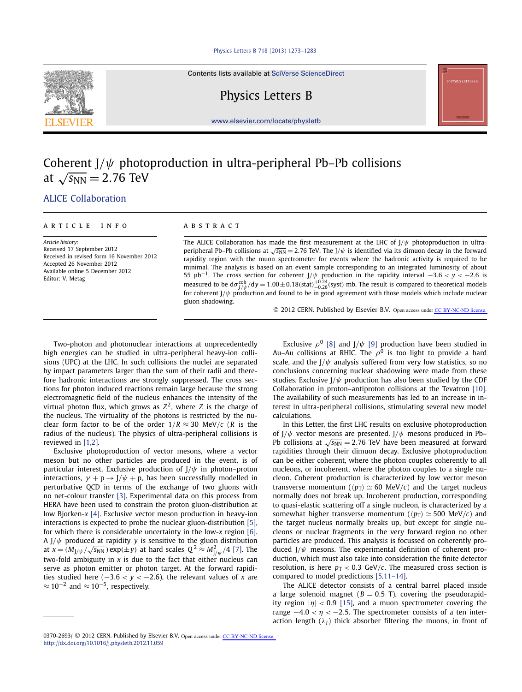Contents lists available at [SciVerse ScienceDirect](http://www.ScienceDirect.com/)

Physics Letters B

[www.elsevier.com/locate/physletb](http://www.elsevier.com/locate/physletb)

# Coherent J*/ψ* photoproduction in ultra-peripheral Pb–Pb collisions at  $\sqrt{s_{NN}}$  = 2.76 TeV

## [.ALICE Collaboration](#page-6-0)

#### article info abstract

*Article history:* Received 17 September 2012 Received in revised form 16 November 2012 Accepted 26 November 2012 Available online 5 December 2012 Editor: V. Metag

The ALICE Collaboration has made the first measurement at the LHC of J*/ψ* photoproduction in ultraperipheral Pb–Pb collisions at  $\sqrt{s_{NN}}$  = 2.76 TeV. The J/ $\psi$  is identified via its dimuon decay in the forward rapidity region with the muon spectrometer for events where the hadronic activity is required to be minimal. The analysis is based on an event sample corresponding to an integrated luminosity of about 55 μb<sup>−</sup>1. The cross section for coherent J*/ψ* production in the rapidity interval −3*.*<sup>6</sup> *< <sup>y</sup> <* −2*.*6 is measured to be  $d\sigma_{J/\psi}^{\text{coh}}/dy = 1.00 \pm 0.18 \text{(stat)}_{-0.26}^{+0.24} \text{(syst)}$  mb. The result is compared to theoretical models for coherent J*/ψ* production and found to be in good agreement with those models which include nuclear gluon shadowing.

© 2012 CERN. Published by Elsevier B.V. Open access under [CC BY-NC-ND license.](http://creativecommons.org/licenses/by-nc-nd/4.0/)

Two-photon and photonuclear interactions at unprecedentedly high energies can be studied in ultra-peripheral heavy-ion collisions (UPC) at the LHC. In such collisions the nuclei are separated by impact parameters larger than the sum of their radii and therefore hadronic interactions are strongly suppressed. The cross sections for photon induced reactions remain large because the strong electromagnetic field of the nucleus enhances the intensity of the virtual photon flux, which grows as  $Z^2$ , where *Z* is the charge of the nucleus. The virtuality of the photons is restricted by the nuclear form factor to be of the order  $1/R \approx 30$  MeV/*c* (*R* is the radius of the nucleus). The physics of ultra-peripheral collisions is reviewed in [\[1,2\].](#page-6-0)

Exclusive photoproduction of vector mesons, where a vector meson but no other particles are produced in the event, is of particular interest. Exclusive production of  $J/\psi$  in photon–proton interactions,  $\gamma + p \rightarrow J/\psi + p$ , has been successfully modelled in perturbative QCD in terms of the exchange of two gluons with no net-colour transfer [\[3\].](#page-6-0) Experimental data on this process from HERA have been used to constrain the proton gluon-distribution at low Bjorken-*x* [\[4\].](#page-6-0) Exclusive vector meson production in heavy-ion interactions is expected to probe the nuclear gluon-distribution [\[5\],](#page-6-0) for which there is considerable uncertainty in the low-*x* region [\[6\].](#page-6-0) A J*/ψ* produced at rapidity *y* is sensitive to the gluon distribution at  $x = (M_{J/\psi}/\sqrt{s_{NN}}) \exp(\pm y)$  at hard scales  $Q^2 \approx M_{J/\psi}^2/4$  [\[7\].](#page-6-0) The two-fold ambiguity in  $x$  is due to the fact that either nucleus can serve as photon emitter or photon target. At the forward rapidities studied here (−3*.*6 *< y <* −2*.*6), the relevant values of *x* are  $\approx$  10<sup>-2</sup> and  $\approx$  10<sup>-5</sup>, respectively.

Exclusive  $\rho^0$  [\[8\]](#page-6-0) and J/ $\psi$  [\[9\]](#page-6-0) production have been studied in Au–Au collisions at RHIC. The  $\rho^0$  is too light to provide a hard scale, and the J*/ψ* analysis suffered from very low statistics, so no conclusions concerning nuclear shadowing were made from these studies. Exclusive  $J/\psi$  production has also been studied by the CDF Collaboration in proton–antiproton collisions at the Tevatron [\[10\].](#page-6-0) The availability of such measurements has led to an increase in interest in ultra-peripheral collisions, stimulating several new model calculations.

In this Letter, the first LHC results on exclusive photoproduction of J*/ψ* vector mesons are presented. J*/ψ* mesons produced in Pb– Pb collisions at  $\sqrt{s_{NN}}$  = 2.76 TeV have been measured at forward rapidities through their dimuon decay. Exclusive photoproduction can be either coherent, where the photon couples coherently to all nucleons, or incoherent, where the photon couples to a single nucleon. Coherent production is characterized by low vector meson transverse momentum ( $\langle p_T \rangle \simeq 60$  MeV/*c*) and the target nucleus normally does not break up. Incoherent production, corresponding to quasi-elastic scattering off a single nucleon, is characterized by a somewhat higher transverse momentum ( $\langle p_T \rangle \simeq 500$  MeV/*c*) and the target nucleus normally breaks up, but except for single nucleons or nuclear fragments in the very forward region no other particles are produced. This analysis is focussed on coherently produced J*/ψ* mesons. The experimental definition of coherent production, which must also take into consideration the finite detector resolution, is here  $p_T < 0.3$  GeV/*c*. The measured cross section is compared to model predictions [\[5,11–14\].](#page-6-0)

The ALICE detector consists of a central barrel placed inside a large solenoid magnet ( $B = 0.5$  T), covering the pseudorapidity region  $|\eta|$  < 0.9 [\[15\],](#page-6-0) and a muon spectrometer covering the range  $-4.0 < \eta < -2.5$ . The spectrometer consists of a ten interaction length  $(\lambda_I)$  thick absorber filtering the muons, in front of



<sup>0370-2693/ © 2012</sup> CERN. Published by Elsevier B.V. Open access under [CC BY-NC-ND license.](http://creativecommons.org/licenses/by-nc-nd/4.0/) <http://dx.doi.org/10.1016/j.physletb.2012.11.059>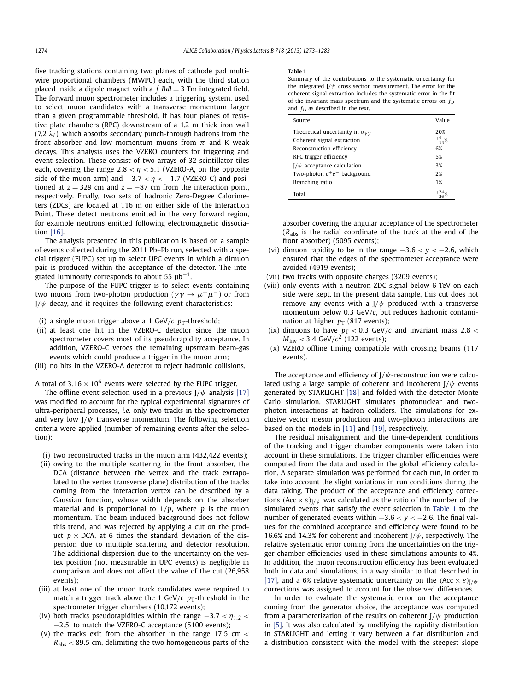<span id="page-1-0"></span>five tracking stations containing two planes of cathode pad multiwire proportional chambers (MWPC) each, with the third station placed inside a dipole magnet with a  $\int B dl = 3$  Tm integrated field. The forward muon spectrometer includes a triggering system, used to select muon candidates with a transverse momentum larger than a given programmable threshold. It has four planes of resistive plate chambers (RPC) downstream of a 1.2 m thick iron wall (7.2 *λI*), which absorbs secondary punch-through hadrons from the front absorber and low momentum muons from *π* and K weak decays. This analysis uses the VZERO counters for triggering and event selection. These consist of two arrays of 32 scintillator tiles each, covering the range  $2.8 < \eta < 5.1$  (VZERO-A, on the opposite side of the muon arm) and  $-3.7 < \eta < -1.7$  (VZERO-C) and positioned at  $z = 329$  cm and  $z = -87$  cm from the interaction point, respectively. Finally, two sets of hadronic Zero-Degree Calorimeters (ZDCs) are located at 116 m on either side of the Interaction Point. These detect neutrons emitted in the very forward region, for example neutrons emitted following electromagnetic dissociation [\[16\].](#page-6-0)

The analysis presented in this publication is based on a sample of events collected during the 2011 Pb–Pb run, selected with a special trigger (FUPC) set up to select UPC events in which a dimuon pair is produced within the acceptance of the detector. The integrated luminosity corresponds to about 55  $\mu$ b<sup>-1</sup>.

The purpose of the FUPC trigger is to select events containing two muons from two-photon production ( $\gamma \gamma \rightarrow \mu^+ \mu^-$ ) or from  $J/\psi$  decay, and it requires the following event characteristics:

- (i) a single muon trigger above a 1 GeV/ $c$   $p_T$ -threshold;
- (ii) at least one hit in the VZERO-C detector since the muon spectrometer covers most of its pseudorapidity acceptance. In addition, VZERO-C vetoes the remaining upstream beam-gas events which could produce a trigger in the muon arm;
- (iii) no hits in the VZERO-A detector to reject hadronic collisions.

A total of  $3.16 \times 10^6$  events were selected by the FUPC trigger.

The offline event selection used in a previous  $J/\psi$  analysis [\[17\]](#page-6-0) was modified to account for the typical experimental signatures of ultra-peripheral processes, *i.e.* only two tracks in the spectrometer and very low  $J/\psi$  transverse momentum. The following selection criteria were applied (number of remaining events after the selection):

- (i) two reconstructed tracks in the muon arm (432,422 events);
- (ii) owing to the multiple scattering in the front absorber, the DCA (distance between the vertex and the track extrapolated to the vertex transverse plane) distribution of the tracks coming from the interaction vertex can be described by a Gaussian function, whose width depends on the absorber material and is proportional to  $1/p$ , where *p* is the muon momentum. The beam induced background does not follow this trend, and was rejected by applying a cut on the product  $p \times DCA$ , at 6 times the standard deviation of the dispersion due to multiple scattering and detector resolution. The additional dispersion due to the uncertainty on the vertex position (not measurable in UPC events) is negligible in comparison and does not affect the value of the cut (26,958 events);
- (iii) at least one of the muon track candidates were required to match a trigger track above the 1 GeV/ $c$   $p_T$ -threshold in the spectrometer trigger chambers (10,172 events);
- (iv) both tracks pseudorapidities within the range −3*.*<sup>7</sup> *< η*1*,*<sup>2</sup> *<* −2*.*5, to match the VZERO-C acceptance (5100 events);
- (v) the tracks exit from the absorber in the range 17*.*5 cm *< R*abs *<* 89*.*5 cm, delimiting the two homogeneous parts of the

#### **Table 1**

Summary of the contributions to the systematic uncertainty for the integrated J*/ψ* cross section measurement. The error for the coherent signal extraction includes the systematic error in the fit of the invariant mass spectrum and the systematic errors on  $f_D$ and  $f_l$ , as described in the text.

| Source                                             | Value           |
|----------------------------------------------------|-----------------|
| Theoretical uncertainty in $\sigma_{\gamma\gamma}$ | 20%             |
| Coherent signal extraction                         | $^{+9}_{-14}$ % |
| Reconstruction efficiency                          | 6%              |
| RPC trigger efficiency                             | 5%              |
| $J/\psi$ acceptance calculation                    | 3%              |
| Two-photon $e^+e^-$ background                     | 2%              |
| Branching ratio                                    | 1%              |
| Total                                              | $+24c$          |

absorber covering the angular acceptance of the spectrometer (*R*abs is the radial coordinate of the track at the end of the front absorber) (5095 events);

- (vi) dimuon rapidity to be in the range  $-3.6 < y < -2.6$ , which ensured that the edges of the spectrometer acceptance were avoided (4919 events);
- (vii) two tracks with opposite charges (3209 events);
- (viii) only events with a neutron ZDC signal below 6 TeV on each side were kept. In the present data sample, this cut does not remove any events with a J*/ψ* produced with a transverse momentum below 0*.*3 GeV*/c*, but reduces hadronic contamination at higher  $p_T$  (817 events);
- (ix) dimuons to have  $p<sub>T</sub> < 0.3$  GeV/*c* and invariant mass 2.8 <  $M_{\text{inv}}$  < 3.4 GeV/ $c^2$  (122 events);
- (x) VZERO offline timing compatible with crossing beams (117 events).

The acceptance and efficiency of J*/ψ*-reconstruction were calculated using a large sample of coherent and incoherent J*/ψ* events generated by STARLIGHT [\[18\]](#page-6-0) and folded with the detector Monte Carlo simulation. STARLIGHT simulates photonuclear and twophoton interactions at hadron colliders. The simulations for exclusive vector meson production and two-photon interactions are based on the models in [\[11\]](#page-6-0) and [\[19\],](#page-6-0) respectively.

The residual misalignment and the time-dependent conditions of the tracking and trigger chamber components were taken into account in these simulations. The trigger chamber efficiencies were computed from the data and used in the global efficiency calculation. A separate simulation was performed for each run, in order to take into account the slight variations in run conditions during the data taking. The product of the acceptance and efficiency corrections  $(Acc \times \varepsilon)_{J/\psi}$  was calculated as the ratio of the number of the simulated events that satisfy the event selection in Table 1 to the number of generated events within −3*.*6 *< y <* −2*.*6. The final values for the combined acceptance and efficiency were found to be 16.6% and 14.3% for coherent and incoherent J*/ψ*, respectively. The relative systematic error coming from the uncertainties on the trigger chamber efficiencies used in these simulations amounts to 4%. In addition, the muon reconstruction efficiency has been evaluated both in data and simulations, in a way similar to that described in [\[17\],](#page-6-0) and a 6% relative systematic uncertainty on the  $(Acc \times \varepsilon)_{I/\psi}$ corrections was assigned to account for the observed differences.

In order to evaluate the systematic error on the acceptance coming from the generator choice, the acceptance was computed from a parameterization of the results on coherent J*/ψ* production in [\[5\].](#page-6-0) It was also calculated by modifying the rapidity distribution in STARLIGHT and letting it vary between a flat distribution and a distribution consistent with the model with the steepest slope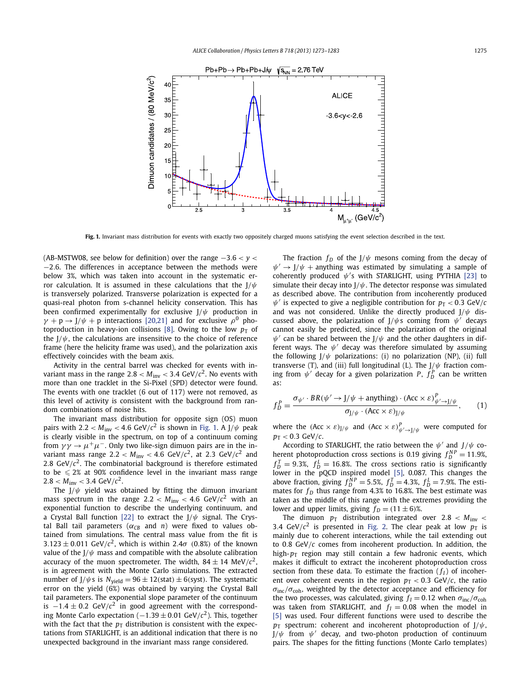<span id="page-2-0"></span>

**Fig. 1.** Invariant mass distribution for events with exactly two oppositely charged muons satisfying the event selection described in the text.

(AB-MSTW08, see below for definition) over the range −3*.*6 *< y <* −2*.*6. The differences in acceptance between the methods were below 3%, which was taken into account in the systematic error calculation. It is assumed in these calculations that the J*/ψ* is transversely polarized. Transverse polarization is expected for a quasi-real photon from s-channel helicity conservation. This has been confirmed experimentally for exclusive J*/ψ* production in  $\gamma + p \rightarrow$  *J*/ $\psi$  + *p* interactions [\[20,21\]](#page-6-0) and for exclusive  $\rho^0$  pho-toproduction in heavy-ion collisions [\[8\].](#page-6-0) Owing to the low  $p_T$  of the  $J/\psi$ , the calculations are insensitive to the choice of reference frame (here the helicity frame was used), and the polarization axis effectively coincides with the beam axis.

Activity in the central barrel was checked for events with invariant mass in the range  $2.8 < M_{\text{inv}} < 3.4 \text{ GeV}/c^2$ . No events with more than one tracklet in the Si-Pixel (SPD) detector were found. The events with one tracklet (6 out of 117) were not removed, as this level of activity is consistent with the background from random combinations of noise hits.

The invariant mass distribution for opposite sign (OS) muon pairs with  $2.2 < M_{\text{inv}} < 4.6$  GeV/ $c^2$  is shown in Fig. 1. A J/ $\psi$  peak is clearly visible in the spectrum, on top of a continuum coming from  $\gamma \gamma \rightarrow \mu^+ \mu^-$ . Only two like-sign dimuon pairs are in the invariant mass range 2.2  $<$   $M_{\text{inv}}$   $<$  4.6 GeV/ $c^2$ , at 2.3 GeV/ $c^2$  and 2.8 GeV $/c^2$ . The combinatorial background is therefore estimated to be  $\leqslant 2\%$  at 90% confidence level in the invariant mass range  $2.8 < M_{\text{inv}} < 3.4 \text{ GeV}/c^2$ .

The  $J/\psi$  yield was obtained by fitting the dimuon invariant mass spectrum in the range  $2.2 < M_{\text{inv}} < 4.6$  GeV/ $c^2$  with an exponential function to describe the underlying continuum, and a Crystal Ball function [\[22\]](#page-6-0) to extract the J*/ψ* signal. The Crystal Ball tail parameters (*αCB* and *n*) were fixed to values obtained from simulations. The central mass value from the fit is  $3.123 \pm 0.011$  GeV/ $c^2$ , which is within 2.4 $\sigma$  (0.8%) of the known value of the  $J/\psi$  mass and compatible with the absolute calibration accuracy of the muon spectrometer. The width,  $84 \pm 14$  MeV/ $c^2$ , is in agreement with the Monte Carlo simulations. The extracted number of  $J/\psi$ s is  $N_{yield} = 96 \pm 12$ (stat)  $\pm 6$ (syst). The systematic error on the yield (6%) was obtained by varying the Crystal Ball tail parameters. The exponential slope parameter of the continuum is  $-1.4 \pm 0.2$  GeV/ $c^2$  in good agreement with the corresponding Monte Carlo expectation (−1*.*<sup>39</sup> ± <sup>0</sup>*.*01 GeV*/c*2). This, together with the fact that the  $p<sub>T</sub>$  distribution is consistent with the expectations from STARLIGHT, is an additional indication that there is no unexpected background in the invariant mass range considered.

The fraction  $f_D$  of the  $J/\psi$  mesons coming from the decay of  $\psi' \rightarrow$  *J*/ $\psi$  + anything was estimated by simulating a sample of coherently produced  $\psi$ 's with STARLIGHT, using PYTHIA [\[23\]](#page-6-0) to simulate their decay into  $J/\psi$ . The detector response was simulated as described above. The contribution from incoherently produced  $\psi'$  is expected to give a negligible contribution for  $p_T < 0.3$  GeV/*c* and was not considered. Unlike the directly produced J*/ψ* discussed above, the polarization of J*/ψ*s coming from *ψ* decays cannot easily be predicted, since the polarization of the original  $\psi'$  can be shared between the J/ $\psi$  and the other daughters in different ways. The  $\psi'$  decay was therefore simulated by assuming the following  $J/\psi$  polarizations: (i) no polarization (NP), (ii) full transverse (T), and (iii) full longitudinal (L). The J*/ψ* fraction coming from  $\psi'$  decay for a given polarization *P*,  $f_D^P$  can be written as:

$$
f_D^P = \frac{\sigma_{\psi'} \cdot BR(\psi' \to J/\psi + \text{anything}) \cdot (Acc \times \varepsilon)_{\psi' \to J/\psi}^P}{\sigma_{J/\psi} \cdot (Acc \times \varepsilon)_{J/\psi}}, \quad (1)
$$

where the  $(Acc \times \varepsilon)_{J/\psi}$  and  $(Acc \times \varepsilon)_{\psi'/\to J/\psi}^P$  were computed for  $p_T < 0.3$  GeV/*c*.

According to STARLIGHT, the ratio between the  $ψ'$  and  $J/\psi$  coherent photoproduction cross sections is 0.19 giving  $f_D^{NP} = 11.9\%$ ,  $f_D^T = 9.3\%$ ,  $f_D^L = 16.8\%$ . The cross sections ratio is significantly lower in the pQCD inspired model [\[5\],](#page-6-0) 0.087. This changes the above fraction, giving  $f_D^{NP} = 5.5\%$ ,  $f_D^T = 4.3\%$ ,  $f_D^L = 7.9\%$ . The estimates for  $f_D$  thus range from 4.3% to 16.8%. The best estimate was taken as the middle of this range with the extremes providing the lower and upper limits, giving  $f_D = (11 \pm 6)$ %.

The dimuon  $p_T$  distribution integrated over 2.8  $<$   $M_{\text{inv}}$   $<$ 3.4 GeV/ $c^2$  is presented in [Fig. 2.](#page-3-0) The clear peak at low  $p_T$  is mainly due to coherent interactions, while the tail extending out to 0*.*8 GeV*/c* comes from incoherent production. In addition, the high- $p_T$  region may still contain a few hadronic events, which makes it difficult to extract the incoherent photoproduction cross section from these data. To estimate the fraction  $(f_I)$  of incoherent over coherent events in the region  $p<sub>T</sub> < 0.3$  GeV/*c*, the ratio *σ*inc*/σ*coh, weighted by the detector acceptance and efficiency for the two processes, was calculated, giving  $f_I = 0.12$  when  $\sigma_{\text{inc}}/\sigma_{\text{coh}}$ was taken from STARLIGHT, and  $f_I = 0.08$  when the model in [\[5\]](#page-6-0) was used. Four different functions were used to describe the *p*<sup>T</sup> spectrum: coherent and incoherent photoproduction of J*/ψ*, J*/ψ* from *ψ* decay, and two-photon production of continuum pairs. The shapes for the fitting functions (Monte Carlo templates)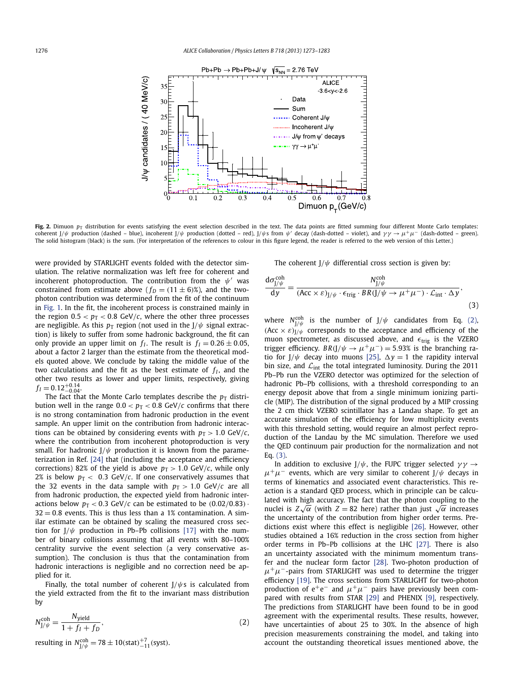<span id="page-3-0"></span>

Fig. 2. Dimuon  $p_T$  distribution for events satisfying the event selection described in the text. The data points are fitted summing four different Monte Carlo templates: coherent J/ $\psi$  production (dashed – blue), incoherent J/ $\psi$  production (dotted – red), J/ $\psi$ s from  $\psi'$  decay (dash-dotted – violet), and  $\gamma \gamma \to \mu^+ \mu^-$  (dash-dotted – green). The solid histogram (black) is the sum. (For interpretation of the references to colour in this figure legend, the reader is referred to the web version of this Letter.)

were provided by STARLIGHT events folded with the detector simulation. The relative normalization was left free for coherent and incoherent photoproduction. The contribution from the  $\psi'$  was constrained from estimate above  $(f_D = (11 \pm 6)$ %), and the twophoton contribution was determined from the fit of the continuum in [Fig. 1.](#page-2-0) In the fit, the incoherent process is constrained mainly in the region  $0.5 < p_T < 0.8$  GeV/*c*, where the other three processes are negligible. As this  $p<sub>T</sub>$  region (not used in the  $J/\psi$  signal extraction) is likely to suffer from some hadronic background, the fit can only provide an upper limit on  $f_l$ . The result is  $f_l = 0.26 \pm 0.05$ , about a factor 2 larger than the estimate from the theoretical models quoted above. We conclude by taking the middle value of the two calculations and the fit as the best estimate of  $f_I$ , and the other two results as lower and upper limits, respectively, giving  $f_I = 0.12^{+0.14}_{-0.04}$ .

The fact that the Monte Carlo templates describe the  $p<sub>T</sub>$  distribution well in the range  $0.0 < p_T < 0.8$  GeV/*c* confirms that there is no strong contamination from hadronic production in the event sample. An upper limit on the contribution from hadronic interactions can be obtained by considering events with  $p_T > 1.0$  GeV/*c*, where the contribution from incoherent photoproduction is very small. For hadronic  $J/\psi$  production it is known from the parameterization in Ref. [\[24\]](#page-6-0) that (including the acceptance and efficiency corrections) 82% of the yield is above  $p<sub>T</sub> > 1.0$  GeV/*c*, while only 2% is below  $p_T < 0.3$  GeV/*c*. If one conservatively assumes that the 32 events in the data sample with  $p_T > 1.0$  GeV/*c* are all from hadronic production, the expected yield from hadronic interactions below  $p_T < 0.3$  GeV/*c* can be estimated to be  $(0.02/0.83)$ ·  $32 = 0.8$  events. This is thus less than a 1% contamination. A similar estimate can be obtained by scaling the measured cross section for  $J/\psi$  production in Pb–Pb collisions [\[17\]](#page-6-0) with the number of binary collisions assuming that all events with 80–100% centrality survive the event selection (a very conservative assumption). The conclusion is thus that the contamination from hadronic interactions is negligible and no correction need be applied for it.

Finally, the total number of coherent J*/ψ*s is calculated from the yield extracted from the fit to the invariant mass distribution by

$$
N_{J/\psi}^{\text{coh}} = \frac{N_{\text{yield}}}{1 + f_I + f_D},\tag{2}
$$

resulting in  $N_{J/\psi}^{\text{coh}} = 78 \pm 10(\text{stat})_{-11}^{+7}(\text{syst})$ .

The coherent  $J/\psi$  differential cross section is given by:

$$
\frac{d\sigma_{J/\psi}^{\text{coh}}}{dy} = \frac{N_{J/\psi}^{\text{coh}}}{(\text{Acc} \times \varepsilon)_{J/\psi} \cdot \epsilon_{\text{trig}} \cdot BR(J/\psi \to \mu^+ \mu^-) \cdot \mathcal{L}_{\text{int}} \cdot \Delta y},\tag{3}
$$

where  $N_{J/\psi}^{\text{coh}}$  is the number of  $J/\psi$  candidates from Eq. (2),  $(Acc \times \varepsilon)$ <sub>*J/ψ*</sub> corresponds to the acceptance and efficiency of the muon spectrometer, as discussed above, and  $\epsilon_{\mathrm{trig}}$  is the VZERO trigger efficiency. *BR*(*J*/ $\psi \rightarrow \mu^{+}\mu^{-}$ ) = 5.93% is the branching ratio for  $J/\psi$  decay into muons [\[25\],](#page-6-0)  $\Delta y = 1$  the rapidity interval bin size, and  $\mathcal{L}_{int}$  the total integrated luminosity. During the 2011 Pb–Pb run the VZERO detector was optimized for the selection of hadronic Pb–Pb collisions, with a threshold corresponding to an energy deposit above that from a single minimum ionizing particle (MIP). The distribution of the signal produced by a MIP crossing the 2 cm thick VZERO scintillator has a Landau shape. To get an accurate simulation of the efficiency for low multiplicity events with this threshold setting, would require an almost perfect reproduction of the Landau by the MC simulation. Therefore we used the QED continuum pair production for the normalization and not Eq. (3).

In addition to exclusive J*/ψ*, the FUPC trigger selected *γγ* →  $\mu^+\mu^-$  events, which are very similar to coherent J/ $\psi$  decays in terms of kinematics and associated event characteristics. This reaction is a standard QED process, which in principle can be calculated with high accuracy. The fact that the photon coupling to the nuclei is  $Z\sqrt{\alpha}$  (with  $Z = 82$  here) rather than just  $\sqrt{\alpha}$  increases the uncertainty of the contribution from higher order terms. Predictions exist where this effect is negligible [\[26\].](#page-6-0) However, other studies obtained a 16% reduction in the cross section from higher order terms in Pb–Pb collisions at the LHC [\[27\].](#page-6-0) There is also an uncertainty associated with the minimum momentum transfer and the nuclear form factor [\[28\].](#page-6-0) Two-photon production of  $\mu^+\mu^-$ -pairs from STARLIGHT was used to determine the trigger efficiency [\[19\].](#page-6-0) The cross sections from STARLIGHT for two-photon production of  $e^+e^-$  and  $\mu^+\mu^-$  pairs have previously been compared with results from STAR [\[29\]](#page-6-0) and PHENIX [\[9\],](#page-6-0) respectively. The predictions from STARLIGHT have been found to be in good agreement with the experimental results. These results, however, have uncertainties of about 25 to 30%. In the absence of high precision measurements constraining the model, and taking into account the outstanding theoretical issues mentioned above, the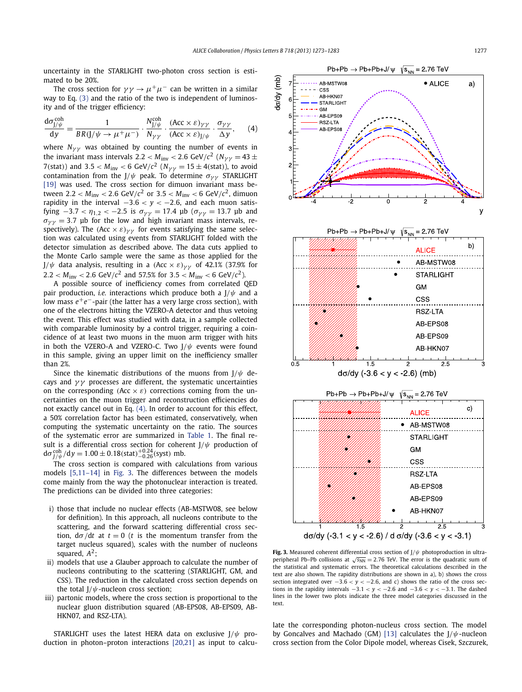<span id="page-4-0"></span>uncertainty in the STARLIGHT two-photon cross section is estimated to be 20%.

The cross section for  $\gamma \gamma \rightarrow \mu^+ \mu^-$  can be written in a similar way to Eq. [\(3\)](#page-3-0) and the ratio of the two is independent of luminosity and of the trigger efficiency:

$$
\frac{\mathrm{d}\sigma_{J/\psi}^{\text{coh}}}{\mathrm{d}y} = \frac{1}{BR(J/\psi \to \mu^+ \mu^-)} \cdot \frac{N_{J/\psi}^{\text{coh}}}{N_{\gamma\gamma}} \cdot \frac{(Acc \times \varepsilon)_{\gamma\gamma}}{(Acc \times \varepsilon)_{J/\psi}} \cdot \frac{\sigma_{\gamma\gamma}}{\Delta y}, \quad (4)
$$

where  $N_{\gamma\gamma}$  was obtained by counting the number of events in the invariant mass intervals 2.2  $<$   $M_{\text{inv}}$   $<$  2.6 GeV/ $c^2$  ( $N_{\gamma\gamma}$  = 43  $\pm$ *7*(*stat*)) and 3.5  $<$  *M*<sub>inv</sub>  $<$  6 GeV/ $c^2$  (*N*<sub>*γ*γ</sub> = 15  $\pm$  4(*stat*)), to avoid contamination from the J/ $\psi$  peak. To determine  $\sigma_{\gamma\gamma}$  STARLIGHT [\[19\]](#page-6-0) was used. The cross section for dimuon invariant mass between 2.2 *< M*<sub>inv</sub> < 2.6 GeV/ $c^2$  or 3.5 *< M*<sub>inv</sub> < 6 GeV/ $c^2$ , dimuon rapidity in the interval −3*.*6 *< y <* −2*.*6, and each muon satisfying  $-3.7 < \eta_{1,2} < -2.5$  is  $\sigma_{\gamma\gamma} = 17.4$  µb  $(\sigma_{\gamma\gamma} = 13.7$  µb and  $\sigma_{\gamma\gamma}$  = 3.7 µb for the low and high invariant mass intervals, respectively). The  $(Acc \times \varepsilon)_{\gamma\gamma}$  for events satisfying the same selection was calculated using events from STARLIGHT folded with the detector simulation as described above. The data cuts applied to the Monte Carlo sample were the same as those applied for the *J/ψ* data analysis, resulting in a (Acc  $\times$  ε)<sub>γγ</sub> of 42.1% (37.9% for  $2.2 < M_{\text{inv}} < 2.6 \text{ GeV}/c^2$  and 57.5% for  $3.5 < M_{\text{inv}} < 6 \text{ GeV}/c^2$ ).

A possible source of inefficiency comes from correlated QED pair production, *i.e.* interactions which produce both a J*/ψ* and a low mass *e*+*e*−-pair (the latter has a very large cross section), with one of the electrons hitting the VZERO-A detector and thus vetoing the event. This effect was studied with data, in a sample collected with comparable luminosity by a control trigger, requiring a coincidence of at least two muons in the muon arm trigger with hits in both the VZERO-A and VZERO-C. Two J*/ψ* events were found in this sample, giving an upper limit on the inefficiency smaller than 2%.

Since the kinematic distributions of the muons from J*/ψ* decays and *γγ* processes are different, the systematic uncertainties on the corresponding  $(Acc \times \varepsilon)$  corrections coming from the uncertainties on the muon trigger and reconstruction efficiencies do not exactly cancel out in Eq. (4). In order to account for this effect, a 50% correlation factor has been estimated, conservatively, when computing the systematic uncertainty on the ratio. The sources of the systematic error are summarized in [Table 1.](#page-1-0) The final result is a differential cross section for coherent J*/ψ* production of  $d\sigma_{J/\psi}^{\text{coh}}/dy = 1.00 \pm 0.18(\text{stat})_{-0.26}^{+0.24}(\text{syst})$  mb.

The cross section is compared with calculations from various models [\[5,11–14\]](#page-6-0) in Fig. 3. The differences between the models come mainly from the way the photonuclear interaction is treated. The predictions can be divided into three categories:

- i) those that include no nuclear effects (AB-MSTW08, see below for definition). In this approach, all nucleons contribute to the scattering, and the forward scattering differential cross section,  $d\sigma/dt$  at  $t = 0$  (*t* is the momentum transfer from the target nucleus squared), scales with the number of nucleons squared, *A*2;
- ii) models that use a Glauber approach to calculate the number of nucleons contributing to the scattering (STARLIGHT, GM, and CSS). The reduction in the calculated cross section depends on the total  $J/\psi$ -nucleon cross section;
- iii) partonic models, where the cross section is proportional to the nuclear gluon distribution squared (AB-EPS08, AB-EPS09, AB-HKN07, and RSZ-LTA).

STARLIGHT uses the latest HERA data on exclusive J*/ψ* production in photon–proton interactions [\[20,21\]](#page-6-0) as input to calcu-



**Fig. 3.** Measured coherent differential cross section of J*/ψ* photoproduction in ultraperipheral Pb–Pb collisions at  $\sqrt{s_{NN}}$  = 2.76 TeV. The error is the quadratic sum of the statistical and systematic errors. The theoretical calculations described in the text are also shown. The rapidity distributions are shown in a), b) shows the cross section integrated over −3*.*6 *< y <* −2*.*6, and c) shows the ratio of the cross sections in the rapidity intervals −3*.*1 *< y <* −2*.*6 and −3*.*6 *< y <* −3*.*1. The dashed lines in the lower two plots indicate the three model categories discussed in the text.

late the corresponding photon-nucleus cross section. The model by Goncalves and Machado (GM) [\[13\]](#page-6-0) calculates the J*/ψ*-nucleon cross section from the Color Dipole model, whereas Cisek, Szczurek,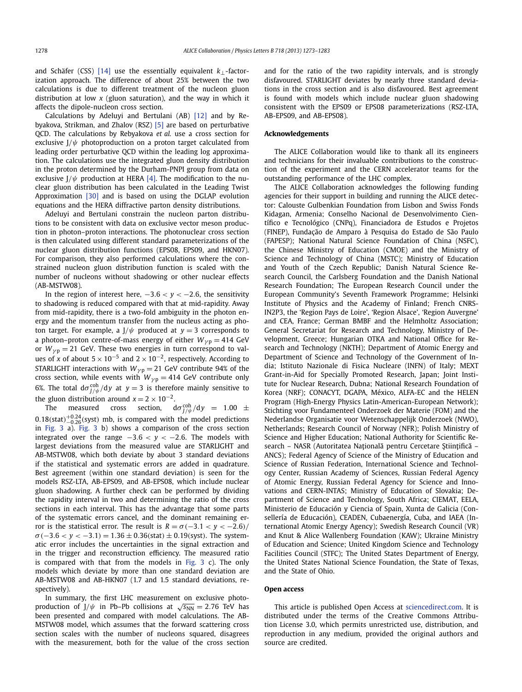and Schäfer (CSS) [\[14\]](#page-6-0) use the essentially equivalent *k*⊥-factorization approach. The difference of about 25% between the two calculations is due to different treatment of the nucleon gluon distribution at low *x* (gluon saturation), and the way in which it affects the dipole-nucleon cross section.

Calculations by Adeluyi and Bertulani (AB) [\[12\]](#page-6-0) and by Rebyakova, Strikman, and Zhalov (RSZ) [\[5\]](#page-6-0) are based on perturbative QCD. The calculations by Rebyakova *et al.* use a cross section for exclusive  $J/\psi$  photoproduction on a proton target calculated from leading order perturbative QCD within the leading log approximation. The calculations use the integrated gluon density distribution in the proton determined by the Durham-PNPI group from data on exclusive  $J/\psi$  production at HERA [\[4\].](#page-6-0) The modification to the nuclear gluon distribution has been calculated in the Leading Twist Approximation [\[30\]](#page-6-0) and is based on using the DGLAP evolution equations and the HERA diffractive parton density distributions.

Adeluyi and Bertulani constrain the nucleon parton distributions to be consistent with data on exclusive vector meson production in photon–proton interactions. The photonuclear cross section is then calculated using different standard parameterizations of the nuclear gluon distribution functions (EPS08, EPS09, and HKN07). For comparison, they also performed calculations where the constrained nucleon gluon distribution function is scaled with the number of nucleons without shadowing or other nuclear effects (AB-MSTW08).

In the region of interest here,  $-3.6 < y < -2.6$ , the sensitivity to shadowing is reduced compared with that at mid-rapidity. Away from mid-rapidity, there is a two-fold ambiguity in the photon energy and the momentum transfer from the nucleus acting as photon target. For example, a  $J/\psi$  produced at  $y = 3$  corresponds to a photon–proton centre-of-mass energy of either  $W_{\gamma p} = 414$  GeV or *W<sup>γ</sup>* <sup>p</sup> = 21 GeV. These two energies in turn correspond to values of *x* of about  $5 \times 10^{-5}$  and  $2 \times 10^{-2}$ , respectively. According to STARLIGHT interactions with  $W_{\gamma p} = 21$  GeV contribute 94% of the cross section, while events with  $W_{\gamma \rm p} = 414$  GeV contribute only 6%. The total d $\sigma^{\rm coh}_{J/\psi}/\rm{d}$ *y* at  $y=3$  is therefore mainly sensitive to the gluon distribution around  $x = 2 \times 10^{-2}$ .

The measured cross section, d $\sigma^{\rm coh}_{J/\psi}/\rm{d} \rm{y} = 1.00$   $\pm$ 0.18 $(\text{stat})_{-0.26}^{+0.24}$ (syst) mb, is compared with the model predictions in [Fig. 3](#page-4-0) a). [Fig. 3](#page-4-0) b) shows a comparison of the cross section integrated over the range  $-3.6 < y < -2.6$ . The models with largest deviations from the measured value are STARLIGHT and AB-MSTW08, which both deviate by about 3 standard deviations if the statistical and systematic errors are added in quadrature. Best agreement (within one standard deviation) is seen for the models RSZ-LTA, AB-EPS09, and AB-EPS08, which include nuclear gluon shadowing. A further check can be performed by dividing the rapidity interval in two and determining the ratio of the cross sections in each interval. This has the advantage that some parts of the systematic errors cancel, and the dominant remaining error is the statistical error. The result is  $R = \sigma(-3.1 \lt y \lt -2.6)$ /  $\sigma(-3.6 < y < -3.1) = 1.36 \pm 0.36$  (stat)  $\pm 0.19$  (syst). The systematic error includes the uncertainties in the signal extraction and in the trigger and reconstruction efficiency. The measured ratio is compared with that from the models in [Fig. 3](#page-4-0) c). The only models which deviate by more than one standard deviation are AB-MSTW08 and AB-HKN07 (1.7 and 1.5 standard deviations, respectively).

In summary, the first LHC measurement on exclusive photoproduction of J/ $\psi$  in Pb–Pb collisions at  $\sqrt{s_{NN}} = 2.76$  TeV has been presented and compared with model calculations. The AB-MSTW08 model, which assumes that the forward scattering cross section scales with the number of nucleons squared, disagrees with the measurement, both for the value of the cross section and for the ratio of the two rapidity intervals, and is strongly disfavoured. STARLIGHT deviates by nearly three standard deviations in the cross section and is also disfavoured. Best agreement is found with models which include nuclear gluon shadowing consistent with the EPS09 or EPS08 parameterizations (RSZ-LTA, AB-EPS09, and AB-EPS08).

#### **Acknowledgements**

The ALICE Collaboration would like to thank all its engineers and technicians for their invaluable contributions to the construction of the experiment and the CERN accelerator teams for the outstanding performance of the LHC complex.

The ALICE Collaboration acknowledges the following funding agencies for their support in building and running the ALICE detector: Calouste Gulbenkian Foundation from Lisbon and Swiss Fonds Kidagan, Armenia; Conselho Nacional de Desenvolvimento Científico e Tecnológico (CNPq), Financiadora de Estudos e Projetos (FINEP), Fundação de Amparo à Pesquisa do Estado de São Paulo (FAPESP); National Natural Science Foundation of China (NSFC), the Chinese Ministry of Education (CMOE) and the Ministry of Science and Technology of China (MSTC); Ministry of Education and Youth of the Czech Republic; Danish Natural Science Research Council, the Carlsberg Foundation and the Danish National Research Foundation; The European Research Council under the European Community's Seventh Framework Programme; Helsinki Institute of Physics and the Academy of Finland; French CNRS-IN2P3, the 'Region Pays de Loire', 'Region Alsace', 'Region Auvergne' and CEA, France; German BMBF and the Helmholtz Association; General Secretariat for Research and Technology, Ministry of Development, Greece; Hungarian OTKA and National Office for Research and Technology (NKTH); Department of Atomic Energy and Department of Science and Technology of the Government of India; Istituto Nazionale di Fisica Nucleare (INFN) of Italy; MEXT Grant-in-Aid for Specially Promoted Research, Japan; Joint Institute for Nuclear Research, Dubna; National Research Foundation of Korea (NRF); CONACYT, DGAPA, México, ALFA-EC and the HELEN Program (High-Energy Physics Latin-American-European Network); Stichting voor Fundamenteel Onderzoek der Materie (FOM) and the Nederlandse Organisatie voor Wetenschappelijk Onderzoek (NWO), Netherlands; Research Council of Norway (NFR); Polish Ministry of Science and Higher Education; National Authority for Scientific Research – NASR (Autoritatea Națională pentru Cercetare Științifică – ANCS); Federal Agency of Science of the Ministry of Education and Science of Russian Federation, International Science and Technology Center, Russian Academy of Sciences, Russian Federal Agency of Atomic Energy, Russian Federal Agency for Science and Innovations and CERN-INTAS; Ministry of Education of Slovakia; Department of Science and Technology, South Africa; CIEMAT, EELA, Ministerio de Educación y Ciencia of Spain, Xunta de Galicia (Consellería de Educación), CEADEN, Cubaenergía, Cuba, and IAEA (International Atomic Energy Agency); Swedish Research Council (VR) and Knut & Alice Wallenberg Foundation (KAW); Ukraine Ministry of Education and Science; United Kingdom Science and Technology Facilities Council (STFC); The United States Department of Energy, the United States National Science Foundation, the State of Texas, and the State of Ohio.

#### **Open access**

This article is published Open Access at [sciencedirect.com](http://www.sciencedirect.com). It is distributed under the terms of the Creative Commons Attribution License 3.0, which permits unrestricted use, distribution, and reproduction in any medium, provided the original authors and source are credited.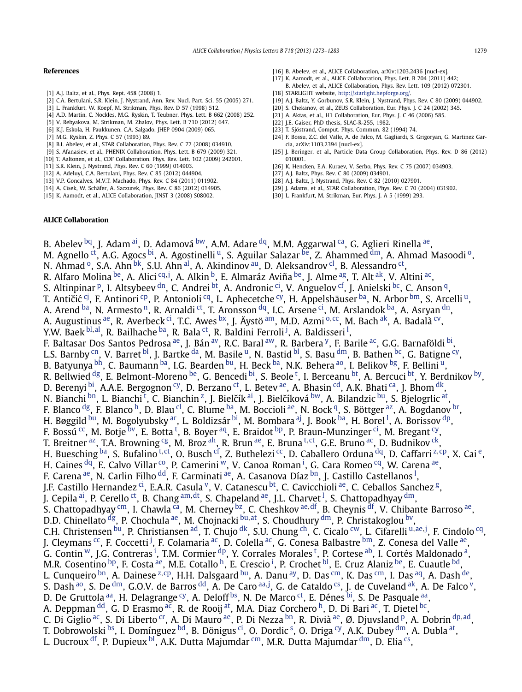#### <span id="page-6-0"></span>**References**

- [1] A.J. Baltz, et al., Phys. Rept. 458 (2008) 1.
- [2] C.A. Bertulani, S.R. Klein, J. Nystrand, Ann. Rev. Nucl. Part. Sci. 55 (2005) 271.
- [3] L. Frankfurt, W. Koepf, M. Strikman, Phys. Rev. D 57 (1998) 512.
- [4] A.D. Martin, C. Nockles, M.G. Ryskin, T. Teubner, Phys. Lett. B 662 (2008) 252.
- [5] V. Rebyakova, M. Strikman, M. Zhalov, Phys. Lett. B 710 (2012) 647.
- [6] K.J. Eskola, H. Paukkunen, C.A. Salgado, JHEP 0904 (2009) 065.
- [7] M.G. Ryskin, Z. Phys. C 57 (1993) 89.
- [8] B.I. Abelev, et al., STAR Collaboration, Phys. Rev. C 77 (2008) 034910.
- [9] S. Afanasiev, et al., PHENIX Collaboration, Phys. Lett. B 679 (2009) 321.
- [10] T. Aaltonen, et al., CDF Collaboration, Phys. Rev. Lett. 102 (2009) 242001.
- [11] S.R. Klein, J. Nystrand, Phys. Rev. C 60 (1999) 014903.
- [12] A. Adeluyi, C.A. Bertulani, Phys. Rev. C 85 (2012) 044904.
- [13] V.P. Goncalves, M.V.T. Machado, Phys. Rev. C 84 (2011) 011902.
- [14] A. Cisek, W. Schäfer, A. Szczurek, Phys. Rev. C 86 (2012) 014905.
- [15] K. Aamodt, et al., ALICE Collaboration, JINST 3 (2008) S08002.
- 
- [16] B. Abelev, et al., ALICE Collaboration, arXiv:1203.2436 [nucl-ex].
- [17] K. Aamodt, et al., ALICE Collaboration, Phys. Lett. B 704 (2011) 442; B. Abelev, et al., ALICE Collaboration, Phys. Rev. Lett. 109 (2012) 072301.
- [18] STARLIGHT website, <http://starlight.hepforge.org/>.
- [19] A.J. Baltz, Y. Gorbunov, S.R. Klein, J. Nystrand, Phys. Rev. C 80 (2009) 044902.
- [20] S. Chekanov, et al., ZEUS Collaboration, Eur. Phys. J. C 24 (2002) 345.
- [21] A. Aktas, et al., H1 Collaboration, Eur. Phys. J. C 46 (2006) 585.
- [22] J.E. Gaiser, PhD thesis, SLAC-R-255, 1982.
- [23] T. Sjöstrand, Comput. Phys. Commun. 82 (1994) 74.
- [24] F. Bossu, Z.C. del Valle, A. de Falco, M. Gagliardi, S. Grigoryan, G. Martinez Garcia, arXiv:1103.2394 [nucl-ex].
- [25] J. Beringer, et al., Particle Data Group Collaboration, Phys. Rev. D 86 (2012) 010001.
- [26] K. Hencken, E.A. Kuraev, V. Serbo, Phys. Rev. C 75 (2007) 034903.
- [27] A.J. Baltz, Phys. Rev. C 80 (2009) 034901.
- [28] A.J. Baltz, J. Nystrand, Phys. Rev. C 82 (2010) 027901.
- [29] J. Adams, et al., STAR Collaboration, Phys. Rev. C 70 (2004) 031902.
- [30] L. Frankfurt, M. Strikman, Eur. Phys. J. A 5 (1999) 293.

### **ALICE Collaboration**

B. Abelev <sup>bq</sup>, J. Adam <sup>ai</sup>, D. Adamová <sup>bw</sup>, A.M. Adare <sup>dq</sup>, M.M. Aggarwal <sup>ca</sup>, G. Aglieri Rinella <sup>ae</sup>, M. Agnello <sup>ct</sup>, A.G. Agocs <sup>bi</sup>, A. Agostinelli <sup>u</sup>, S. Aguilar Salazar <sup>be</sup>, Z. Ahammed [dm,](#page-10-0) A. Ahmad Masoodi <sup>o</sup>, N. Ahmad <sup>o</sup>, S.A. Ahn <sup>bk</sup>, S.U. Ahn <sup>al</sup>, A. Akindinov <sup>au</sup>, D. Aleksandrov <sup>cl</sup>, B. Alessandro<sup>ct</sup>, R. Alfaro Molina <sup>be</sup>, A. Alici <sup>[cq](#page-10-0),[j](#page-9-0)</sup>, A. Alkin <sup>[b](#page-9-0)</sup>, E. Almaráz Aviña <sup>be</sup>, J. Alme <sup>ag</sup>, T. Alt <sup>ak</sup>, V. Altini <sup>[ac](#page-9-0)</sup>, S. Altinpinar <sup>p</sup>, I. Altsybeev [dn,](#page-10-0) C. Andrei [bt,](#page-9-0) A. Andronic [ci,](#page-10-0) V. Anguelov [cf,](#page-10-0) J. Anielski [bc,](#page-9-0) C. Anson [q,](#page-9-0) T. Antičić<sup>cj</sup>, F. Antinori<sup>cp</sup>, P. Antonioli<sup>[cq](#page-10-0)</sup>, L. Aphecetche <sup>cy</sup>, H. Appelshäuser <sup>ba</sup>, N. Arbor <sup>bm</sup>, S. Arcelli<sup>u</sup>, A. Arend <sup>ba</sup>, N. Armesto <sup>n</sup>, R. Arnaldi <sup>ct</sup>, T. Aronsson <sup>dq</sup>, I.C. Arsene <sup>ci</sup>, M. Arslandok <sup>ba</sup>, A. Asryan <sup>dn</sup>, A. Augustinus [ae,](#page-9-0) R. Averbeck [ci,](#page-10-0) T.C. Awes [bx,](#page-10-0) J. Äystö [am,](#page-9-0) M.D. Azmi [o](#page-9-0)*,*[cc,](#page-10-0) M. Bach [ak,](#page-9-0) A. Badalà [cv,](#page-10-0) Y.W. Baek <sup>[bl](#page-9-0),al</sup>, R. Bailhache <sup>ba</sup>, R. Bala <sup>[ct](#page-10-0)</sup>, R. Baldini Ferroli <sup>[j](#page-9-0)</sup>, A. Ba[l](#page-9-0)disseri <sup>l</sup>, F. Baltasar Dos Santos Pedrosa [ae,](#page-9-0) J. Bán [av](#page-9-0), R.C. Baral [aw](#page-9-0), R. Barbera <sup>y</sup>, F. Barile [ac,](#page-9-0) G.G. Barnaföldi [bi,](#page-9-0) L.S. Barnby <sup>cn</sup>, V. Barret <sup>bl</sup>, J. Bartke <sup>da</sup>, M. Basile <sup>u</sup>, N. Bastid <sup>bl</sup>, S. Basu <sup>dm</sup>, B. Bathen <sup>bc</sup>, G. Batigne <sup>cy</sup>, B. Batyunya <sup>bh</sup>, C. Baumann <sup>ba</sup>, I.G. Bearden <sup>bu</sup>, H. Beck <sup>ba</sup>, N.K. Behera <sup>[ao](#page-9-0)</sup>, I. Belikov <sup>bg</sup>, F. Bellini <sup>u</sup>, R. Bellwied <sup>dg</sup>, E. Belmon[t](#page-9-0)-Moreno <sup>be</sup>, G. Bencedi <sup>bi</sup>, S. Beole <sup>t</sup>, I. Berceanu <sup>bt</sup>, A. Bercuci <sup>bt</sup>, Y. Berdnikov <sup>by</sup>, D. Berenyi <sup>bi</sup>, A.A.E. Bergognon <sup>cy</sup>, D. Berzano <sup>ct</sup>, L. Betev <sup>[ae](#page-9-0)</sup>, A. Bhasin <sup>cd</sup>, A.K. Bhati <sup>ca</sup>, J. Bhom <sup>dk</sup>, N. Bianchi <sup>bn</sup>, L. Bianchi <sup>[t](#page-9-0)</sup>, C. Bianchin <sup>z</sup>, J. Bielčík <sup>ai</sup>, J. Bielčíková <sup>bw</sup>, A. Bilandzic <sup>bu</sup>, S. Bjelogrlic <sup>at</sup>, F. Blanco <sup>dg</sup>, F. Blanco [h,](#page-9-0) D. Blau <sup>cl</sup>, C. Blume <sup>ba</sup>, M. Boccioli <sup>ae</sup>, N. Bock <sup>q</sup>, S. Böttger <sup>az</sup>, A. Bogdanov <sup>br</sup>, H. Bøggild <sup>[bu](#page-9-0)</sup>, M. Bogolyubsky <sup>[ar](#page-9-0)</sup>, L. Bo[l](#page-9-0)dizsár <sup>bi</sup>, M. Bombara <sup>aj</sup>, J. Book <sup>ba</sup>, H. Borel <sup>l</sup>, A. Borissov <sup>dp</sup>, F. Bossú <sup>cc</sup>, M. Bo[t](#page-9-0)je <sup>bv</sup>, E. Botta <sup>t</sup>, B. Boyer <sup>aq</sup>, E. Braidot <sup>bp</sup>, P. Braun-Munzinger <sup>ci</sup>, M. Bregant <sup>cy</sup>, T. Brei[t](#page-9-0)ner <sup>az</sup>, T.A. Browning <sup>cg</sup>, M. Broz <sup>ah</sup>, R. Brun <sup>ae</sup>, E. Bruna <sup>t, ct</sup>, G.E. Bruno <sup>ac</sup>, D. Budnikov <sup>ck</sup>, H. Buesching <sup>ba</sup>, S. Bufalino [t](#page-9-0),[ct,](#page-10-0) O. Busch [cf,](#page-10-0) Z. Buthelezi [cc,](#page-10-0) D. Caballero Orduna [dq,](#page-10-0) D. Caffarri <sup>[z](#page-9-0),[cp](#page-10-0)</sup>, X. Cai [e,](#page-9-0) H. Ca[i](#page-9-0)nes <sup>dq</sup>, E. Calvo Villar <sup>co</sup>, P. Camerini <sup>w</sup>, V. Canoa Roman <sup>i</sup>, G. Cara Romeo <sup>cq</sup>, W. Carena <sup>ae</sup>, F. Carena <sup>ae</sup>, N. Car[l](#page-9-0)in Filho <sup>dd</sup>, F. Carminati <sup>ae</sup>, A. Casanova Díaz <sup>bn</sup>, J. Castillo Castellanos <sup>l</sup>, J.F. Castillo Hernandez <sup>ci</sup>, E.A.R. Casula <sup>v</sup>, V. Catanescu <sup>bt</sup>, C. Cavicchioli <sup>ae</sup>, C. Ceballos Sanchez <sup>g</sup>, J. Cepila <sup>ai</sup>, P. Cerello <sup>[ct](#page-10-0)</sup>, B. Chang <sup>[am](#page-9-0), dt</sup>, S. Chape[l](#page-9-0)and <sup>ae</sup>, J.L. Charvet <sup>l</sup>, S. Chattopadhyay <sup>dm</sup>, S. Chattopadhyay [cm,](#page-10-0) I. Chawla <sup>ca</sup>, M. Cherney <sup>bz</sup>, C. Cheshkov [ae](#page-9-0), [df,](#page-10-0) B. Cheynis df, V. Chibante Barroso [ae,](#page-9-0) D.D. Chinellato <sup>dg</sup>, P. Chochula [ae](#page-9-0), M. Chojnacki <sup>[bu](#page-9-0), at</sup>, S. Choudhury [dm,](#page-10-0) P. Christakoglou <sup>bv</sup>, C.H. Christensen <s[u](#page-9-0)p>bu</sup>, P. Christiansen <sup>ad</sup>, T. Chujo <sup>dk</sup>, S.U. Chung <sup>ch</sup>, C. Cicalo <sup>cw</sup>, L. Cifarelli <sup>u,[ae](#page-9-0),[j](#page-9-0)</sup>, F. Cindolo <sup>cq</sup>, J. Cleymans <sup>cc</sup>, F. Coccetti <sup>[j](#page-9-0)</sup>, F. Colamaria <sup>ac</sup>, D. Colella <sup>ac</sup>, G. Conesa Balbastre <sup>bm</sup>, Z. Conesa del Valle <sup>ae</sup>, G. Cont[i](#page-9-0)n <sup>w</sup>, J.G. Con[t](#page-9-0)reras <sup>i</sup>, T.M. Cormier <sup>dp</sup>, Y. Corrales Morales <sup>t</sup>, P. Cortese <sup>ab</sup>, I. Cortés Maldonado <sup>a</sup>, M.R. Cosent[i](#page-9-0)no <sup>bp</sup>, F. Costa <sup>ae</sup>, M.E. Cotallo <sup>h</sup>, E. Crescio <sup>i</sup>, P. Crochet <sup>bl</sup>, E. Cruz Alaniz <sup>be</sup>, E. Cuautle <sup>bd</sup>, L. Cunqueiro <sup>bn</sup>, A. Dainese <sup>[z](#page-9-0),cp</sup>, H.H. Dalsgaard <sup>bu</sup>, A. Danu <sup>ay</sup>, D. Das <sup>cm</sup>, K. Das <sup>cm</sup>, I. Das <sup>aq</sup>, A. Dash <sup>de</sup>, S. Dash <sup>ao</sup>, S. De <sup>dm</sup>, G.O.V. de Barros <sup>[dd](#page-10-0)</sup>, A. De Caro <sup>[aa](#page-9-0),[j](#page-9-0)</sup>, G. de Cataldo <sup>cs</sup>, J. de Cuveland <sup>[ak](#page-9-0)</sup>, A. De Falco <sup>v</sup>, D. De Gruttola  $^{ad}$ , H. Delagrange <sup>cy</sup>, A. Deloff<sup>bs</sup>, N. De Marco <sup>ct</sup>, E. Dénes <sup>bi</sup>, S. De Pasquale  $^{ad}$ , A. Deppman [dd,](#page-10-0) G. D Erasmo [ac,](#page-9-0) R. de Rooij [at,](#page-9-0) M.A. Diaz Corchero [h,](#page-9-0) D. Di Bari ac, T. Dietel [bc,](#page-9-0) C. Di Giglio [ac,](#page-9-0) S. Di Liberto [cr,](#page-10-0) A. Di Mauro [ae,](#page-9-0) P. Di Nezza [bn,](#page-9-0) R. Divià [ae,](#page-9-0) Ø. Djuvsland [p](#page-9-0), A. Dobrin [dp](#page-10-0)*,*[ad,](#page-9-0) T. Dobrowol[s](#page-9-0)ki <sup>bs</sup>, I. Domínguez <sup>bd</sup>, B. Dönigus <sup>ci</sup>, O. Dordic <sup>s</sup>, O. Driga <sup>cy</sup>, A.K. Dubey <sup>dm</sup>, A. Dubla <sup>at</sup>, L. Ducroux [df,](#page-10-0) P. Dupieux [bl,](#page-9-0) A.K. Dutta Majumdar [cm](#page-10-0), M.R. Dutta Majumdar [dm,](#page-10-0) D. Elia [cs,](#page-10-0)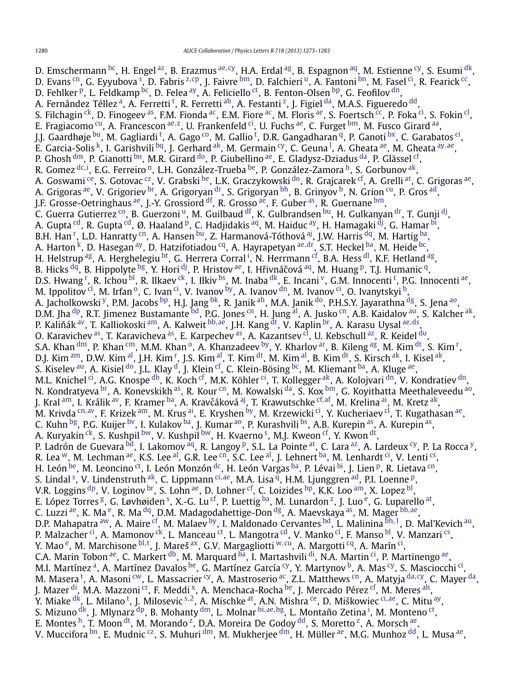D. Emschermann <sup>bc</sup>, H. Engel <sup>[az](#page-9-0)</sup>, B. Erazmus <sup>[ae](#page-9-0),cy</sup>, H.A. Erdal <sup>[ag](#page-9-0)</sup>, B. Espagnon <sup>aq</sup>, M. Estienne <sup>cy</sup>, S. Esumi <sup>dk</sup>, D. Evan[s](#page-9-0) <sup>cn</sup>, G. Eyyubova <sup>s</sup>, D. Fabris <sup>[z](#page-9-0),cp</sup>, J. Faivre <sup>[bm](#page-9-0)</sup>, D. Falchieri <sup>u</sup>, A. Fantoni <sup>bn</sup>, M. Fasel <sup>ci</sup>, R. Fearick <sup>cc</sup>, D. Fehlker <sup>p</sup>, L. Feldkamp <sup>bc</sup>, D. Felea <sup>ay</sup>, A. Feliciello<sup>ct</sup>, B. Fenton-Olsen <sup>bp</sup>, G. Feofilov <sup>[dn](#page-10-0)</sup>, A. Fernández Téllez <sup>a</sup>, A. Ferre[t](#page-9-0)ti <sup>t</sup>, R. Ferretti <sup>ab</sup>, A. Festanti <sup>z</sup>, J. Figiel <sup>da</sup>, M.A.S. Figueredo <sup>dd</sup>, S. Filchagin Ck, D. Finogeev [as,](#page-9-0) F.M. Fionda [ac,](#page-9-0) E.M. Fiore ac, M. Floris [ae,](#page-9-0) S. Foertsch [cc,](#page-10-0) P. Foka Ci, S. Fokin Cl, E. Fragiacomo <sup>cu</sup>, A. Francescon [ae](#page-9-0), [z,](#page-9-0) U. Frankenfeld [ci,](#page-10-0) U. Fuchs [ae,](#page-9-0) C. Furget [bm,](#page-9-0) M. Fusco Girard [aa](#page-9-0), J.J. Gaardhøje <sup>[bu](#page-9-0)</sup>, M. Gagliardi <sup>[t](#page-9-0)</sup>, A. Gago <sup>co</sup>, M. Gallio <sup>t</sup>, D.R. Gangadharan <sup>q</sup>, P. Ganoti <sup>bx</sup>, C. Garabatos <sup>ci</sup>, E. Garcia-Solis <sup>k</sup>, I. Garishvili <sup>[bq](#page-9-0)</sup>, J. Gerhard <sup>ak</sup>, M. Germain <sup>cy</sup>, C. Geuna <sup>[l](#page-9-0)</sup>, A. Gheata <sup>ae</sup>, M. Gheata <sup>[ay](#page-9-0), ae</sup>, P. Ghosh [dm,](#page-10-0) P. Gianotti [bn,](#page-9-0) M.R. Girard [do,](#page-10-0) P. Giubellino [ae,](#page-9-0) E. Gladysz-Dziadus [da,](#page-10-0) P. Glässel [cf,](#page-10-0) R. Gomez <sup>[dc](#page-10-0),[i](#page-9-0)</sup>, E.G. Ferreiro <sup>n</sup>, L.H. González-Trueba <sup>be</sup>, P. González-Zamora <sup>h</sup>, S. Gorbunov <sup>ak</sup>, A. Goswami <sup>ce</sup>, S. Gotovac <sup>cz</sup>, V. Grabski <sup>be</sup>, L.K. Graczykowski <sup>do</sup>, R. Grajcarek <sup>[cf](#page-10-0)</sup>, A. Grelli <sup>at</sup>, C. Grigoras <sup>ae</sup>, A. Grigoras [ae,](#page-9-0) V. Grigoriev [br,](#page-9-0) A. Grigoryan [dr,](#page-10-0) S. Grigoryan [bh,](#page-9-0) B. Grinyov [b,](#page-9-0) N. Grion [cu,](#page-10-0) P. Gros [ad,](#page-9-0) J.F. Grosse-Oetringhaus [ae,](#page-9-0) J.-Y. Grossiord [df,](#page-10-0) R. Grosso ae, F. Guber [as,](#page-9-0) R. Guernane [bm,](#page-9-0) C. Guerra Gutierrez<sup>co</sup>, B. Guerzoni<sup>u</sup>, M. Guilbaud <sup>df</sup>, K. Gulbrandsen <sup>bu</sup>, H. Gulkanyan <sup>dr</sup>, T. Gunji <sup>[dj](#page-10-0)</sup>, A. Gupta <sup>cd</sup>, R. Gupta <sup>cd</sup>, Ø. Haaland <sup>p</sup>, C. Hadjidakis <sup>aq</sup>, M. Haiduc <sup>[ay](#page-9-0)</sup>, H. Hamagaki <sup>[dj](#page-10-0)</sup>, G. Hamar <sup>bi</sup>, B.H. Han <sup>[r](#page-9-0)</sup>, L.D. Hanratty <sup>cn</sup>, A. Hansen <sup>bu</sup>, Z. Harmanová-Tóthová <sup>[aj](#page-9-0)</sup>, J.W. Harris <sup>dq</sup>, M. Hartig <sup>ba</sup>, B.H. Han , E.D. Hamatty , A. Hansen , E. Hamanova Tomora , J.W. Anno B., M. Herzo bc, A. Harton [k](#page-9-0), D. Hasegan <sup>ay</sup>, D. Hatzifotiadou <sup>cq</sup>, A. Hayrapetyan <sup>[ae](#page-9-0),[dr](#page-10-0)</sup>, S.T. Heckel [ba](#page-9-0), M. Heide [bc,](#page-9-0) H. Helstrup <sup>[ag](#page-9-0)</sup>, A. Hergheleg[i](#page-9-0)u <sup>bt</sup>, G. Herrera Corral <sup>i</sup>, N. Herrmann <sup>cf</sup>, B.A. Hess <sup>dl</sup>, K.F. Hetland <sup>ag</sup>, B. Hicks <sup>[dq](#page-10-0)</sup>, B. Hippolyte <sup>bg</sup>, Y. Hori <sup>dj</sup>, P. Hristov <sup>ae</sup>, I. Hřivnáčová <sup>aq</sup>, M. Huang <sup>p</sup>, T.J. Humanic <sup>q</sup>, D.S. Hwang <sup>[r](#page-9-0)</sup>, R. Ichou <sup>bl</sup>, R. Ilkaev <sup>[ck](#page-10-0)</sup>, I. Ilkiv <sup>bs</sup>, M. Inaba <sup>dk</sup>, E. Incani <sup>v</sup>, G.M. Innocen[t](#page-9-0)i <sup>t</sup>, P.G. Innocenti <sup>ae</sup>, M. Ippolitov <sup>cl</sup>, M. Irfan <sup>o</sup>, C. Ivan <sup>ci</sup>, V. Ivanov <sup>[by](#page-10-0)</sup>, A. Ivanov <sup>dn</sup>, M. Ivanov <sup>ci</sup>, O. Ivanytskyi <sup>b</sup>, A. Jacholkowski <sup>y</sup>, P.M. Jacobs <sup>[bp](#page-9-0)</sup>, H.J. Jang <sup>bk</sup>, R. Janik <sup>ah</sup>, M.A. Janik <sup>do</sup>, P.H.S.Y. Jayarathna <sup>[dg](#page-10-0)</sup>, S. Jena <sup>ao</sup>, D.M. Jha <sup>dp</sup>, R.T. Jimenez Bustamante <sup>bd</sup>, P.G. Jones <sup>cn</sup>, H. Jung <sup>al</sup>, A. Jusko <sup>cn</sup>, A.B. Kaidalov <sup>au</sup>, S. Kalcher <sup>ak</sup>, P. Kaliňák<sup>[av](#page-9-0)</sup>, T. Kalliokoski <sup>am</sup>, A. Kalweit <sup>[bb](#page-9-0),ae</sup>, J.H. Kang <sup>dt</sup>, V. Kaplin <sup>br</sup>, A. Karasu Uysal <sup>[ae,](#page-9-0)ds</sup>, O. Karavichev<sup>as</sup>, T. Karavicheva<sup>as</sup>, E. Karpechev<sup>as</sup>, A. Kazantsev<sup>cl</sup>, U. Kebschull [az,](#page-9-0) R. Keidel [du,](#page-10-0) S.A. Khan <sup>[dm](#page-10-0)</sup>, P. Khan <sup>cm</sup>, M.M. Khan <sup>o</sup>, A. Khanzadeev <sup>by</sup>, Y. Kha[r](#page-9-0)lov <sup>ar</sup>, B. Kileng <sup>ag</sup>, M. Kim <sup>dt</sup>, S. Kim <sup>r</sup>, D.J. Kim <sup>am</sup>, D.W. Kim <sup>al</sup>, J.H. Kim <sup>[r](#page-9-0)</sup>, J.S. Kim <sup>al</sup>, T. Kim <sup>dt</sup>, M. Kim <sup>al</sup>, B. Kim <sup>dt</sup>, S. Kirsch <sup>[ak](#page-9-0)</sup>, I. Kisel <sup>ak</sup>, S. Kiselev <sup>au</sup>, A. Kisiel <sup>do</sup>, J.L. Klay <sup>d</sup>, J. Klein <sup>cf</sup>, C. Klein-Bösing <sup>bc</sup>, M. Kliemant <sup>ba</sup>, A. Kluge <sup>ae</sup>, M.L. Knichel <sup>ci</sup>, A.G. Knospe <sup>db</sup>, K. Koch <sup>cf</sup>, M.K. Köhler <sup>ci</sup>, T. Kollegger <sup>ak</sup>, A. Kolojvari <sup>[dn](#page-10-0)</sup>, V. Kondratiev <sup>dn</sup>, N. Kondratyeva <sup>br</sup>, A. Konevskikh <sup>as</sup>, R. Kour <sup>cn</sup>, M. Kowalski <sup>da</sup>, S. Kox <sup>bm</sup>, G. Koyithatta Meethaleveedu <sup>ao</sup>, J. Kral <sup>[am](#page-9-0)</sup>, I. Králik <sup>av</sup>, F. Kramer <sup>ba</sup>, A. Kravčáková <sup>[aj](#page-9-0)</sup>, T. Krawutschke <sup>[cf](#page-10-0),af</sup>, M. Krelina <sup>[ai](#page-9-0)</sup>, M. Kretz <sup>ak</sup>, M. Krivda <sup>[cn](#page-10-0),av</sup>, F. Krizek<sup>am</sup>, M. Krus [ai,](#page-9-0) E. Kryshen <sup>[by](#page-10-0)</sup>, M. Krzewicki <sup>ci</sup>, Y. Kucheriaev <sup>cl</sup>, T. Kugathasan <sup>ae</sup>, C. Kuhn <sup>bg</sup>, P.G. Kuijer <sup>[bv](#page-10-0)</sup>, I. Kulakov <sup>[ba](#page-9-0)</sup>, J. Kumar <sup>ao</sup>, P. Kurashvili <sup>bs</sup>, A.B. Kurepin <sup>as</sup>, A. Kurepin <sup>as</sup>, A. Kuryakin <sup>ck</sup>, S. Kushpil <sup>[bw](#page-10-0)</[s](#page-9-0)up>, V. Kushpil <sup>bw</sup>, H. Kvaerno <sup>s</sup>, M.J. Kweon <sup>cf</sup>, Y. Kwon <sup>dt</sup>, P. Ladrón de Guevara <sup>[bd](#page-9-0)</sup>, I. Lakomov <sup>[aq](#page-9-0)</sup>, R. Langoy <sup>p</sup>, S.L. La Pointe [at,](#page-9-0) C. Lara [az,](#page-9-0) A. Lardeux <sup>c[y](#page-9-0)</sup>, P. La Rocca <sup>y</sup>, R. Lea <sup>w</sup>, M. Lechman <sup>ae</sup>, K.S. Lee <sup>al</sup>, G.R. Lee <sup>cn</sup>, S.C. Lee <sup>al</sup>, J. Lehnert <sup>ba</sup>, M. Lenhardt <sup>ci</sup>, V. Lenti <sup>cs</sup>, H. León <sup>be</sup>, M. Leoncino <sup>ct</sup>, I. León Monzón <sup>[dc](#page-10-0)</su[p](#page-9-0)>, H. León Vargas <sup>ba</sup>, P. Lévai <sup>bi</sup>, J. Lien <sup>p</sup>, R. Lietava <sup>cn</sup>, S. Lindal <[s](#page-9-0)up>s</sup>, V. Lindenstruth <sup>ak</sup>, C. Lippmann <sup>[ci](#page-10-0),ae</sup>, M.A. Lisa <sup>q</sup>, H.M. Ljunggren <sup>ad</sup>, P.I. Loenne <sup>p</sup>, V.R. Loggins [dp](#page-10-0), V. Loginov [br,](#page-9-0) S. Lohn [ae,](#page-9-0) D. Lohner [cf,](#page-10-0) C. Loizides [bp,](#page-9-0) K.K. Loo [am,](#page-9-0) X. Lopez [bl,](#page-9-0) E. López Torre[s](#page-9-0) <sup>g</sup>, G. Løvhøiden <sup>s</sup>, X.-G. Lu <sup>cf</sup>, P. Luettig <sup>ba</sup>, M. Lunardon <sup>z</sup>, J. Luo <sup>e</sup>, G. Luparello <sup>at</sup>, C. Luzzi <sup>ae</sup>, K. Ma<sup>e</sup>, R. Ma<sup>dq</sup>, D.M. Madagodahettige-Don <sup>dg</sup>, A. Maevskaya as, M. Mager bb, [ae,](#page-9-0) D.P. Mahapatra <sup>aw</sup>, A. Maire <sup>cf</sup>, M. Malaev <sup>by</sup>, I. Maldonado Cervantes <sup>bd</sup>, L. Malinina <sup>[bh](#page-9-0), 1</sup>, D. Mal'Kevich <sup>au</sup>, P. Malzacher <sup>ci</sup>, A. Mamonov <sup>ck</sup>, L. Manceau <sup>ct</sup>, L. Mangotra <sup>cd</sup>, V. Manko <sup>cl</sup>, F. Manso <sup>bl</sup>, V. Manzari <sup>cs</sup>, Y. Mao <sup>e</sup>, M. Marchisone <sup>[bl](#page-9-0),[t](#page-9-0)</sup>, J. Mareš <sup>ax</sup>, G.V. Margagliotti <sup>[w](#page-9-0),cu</sup>, A. Margotti <sup>cq</sup>, A. Marín <sup>ci</sup>, C.A. Marin Tobon [ae,](#page-9-0) C. Markert [db,](#page-10-0) M. Marquard [ba,](#page-9-0) I. Martashvili [di,](#page-10-0) N.A. Martin [ci,](#page-10-0) P. Martinengo ae, M.I. Martínez<sup>a</sup>, A. Martínez Davalos <sup>be</sup>, G. Martínez García<sup>cy</sup>, Y. Martynov <sup>b</sup>, A. Mas <sup>cy</sup>, S. Masciocchi [ci,](#page-10-0) M. Masera <sup>[t](#page-9-0)</sup>, A. Masoni <sup>cw</sup>, L. Massacrier <sup>cy</sup>, A. Mastroserio <sup>ac</sup>, Z.L. Matthews <sup>cn</sup>, A. Matyja <sup>[da](#page-10-0),cy</sup>, C. Mayer <sup>da</sup>, J. Mazer [di,](#page-10-0) M.A. Mazzoni <sup>cr</sup>, F. Meddi <sup>x</sup>, A. Menchaca-Rocha <sup>[be](#page-9-0)</sup>, J. Mercado Pérez <sup>cf</sup>, M. Meres <sup>ah</sup>, Y. Miake <sup>dk</sup>, L. Milano <sup>[t](#page-9-0)</[s](#page-9-0)up>, J. Milosevic <sup>s, 2</sup>, A. Mischke <sup>at</sup>, A.N. Mishra <sup>ce</sup>, D. Miśkowiec <sup>[ci](#page-10-0),ae</sup>, C. Mitu <sup>ay</sup>, S. Mizuno <sup>dk</sup>, J. Mlynarz <sup>dp</sup>, B. Mohanty <sup>[dm](#page-10-0)</sup>, L. Molnar <sup>[bi](#page-9-0),[ae](#page-9-0),bg</sup>, L. Montaño Zet[i](#page-9-0)na <sup>i</sup>, M. Monteno <sup>ct</sup>, E. Montes  $h$ , T. Moon [dt,](#page-10-0) M. Morando  $\frac{z}{2}$ , D.A. Moreira De Godoy [dd,](#page-10-0) S. Moretto  $\frac{z}{2}$ , A. Morsch [ae,](#page-9-0) V. Muccifora [bn,](#page-9-0) E. Mudnic Cz, S. Muhuri [dm,](#page-10-0) M. Mukherjee dm, H. Müller [ae,](#page-9-0) M.G. Munhoz [dd,](#page-10-0) L. Musa ae,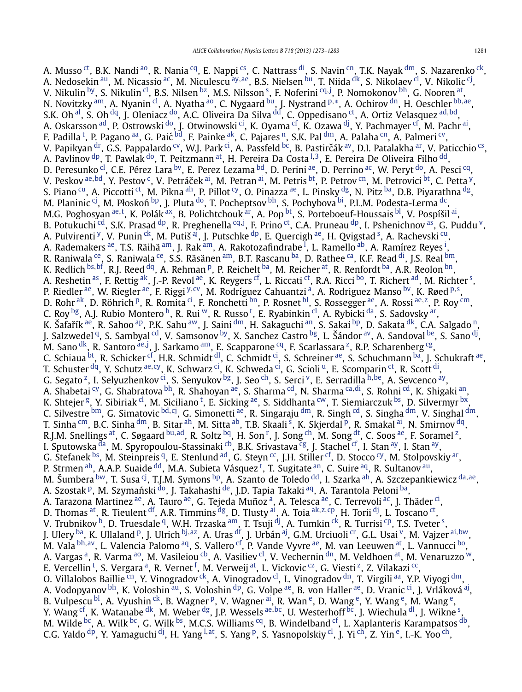A. Musso <sup>ct</sup>, B.K. Nandi <sup>ao</sup>, R. Nania <sup>cq</sup>, E. Nappi <sup>cs</sup>, C. Nattrass <sup>di</sup>, S. Navin <sup>[cn](#page-10-0)</sup>, T.K. Nayak <sup>dm</sup>, S. Nazarenko <sup>ck</sup>, A. Nedosekin <sup>au</sup>, M. Nicassio <sup>ac</sup>, M. Niculescu <sup>[ay](#page-9-0), ae</sup>, B.S. Nielsen <sup>bu</sup>, T. Niida <sup>dk</sup>, S. Nikolaev <sup>cl</sup>, V. Nikolic <sup>cj</sup>, V. Nikulin <sup>by</sup>, S. Nikulin <sup>[cl](#page-10-0)</[s](#page-9-0)up>, B.S. Nilsen <sup>bz</sup>, M.S. Nilsson <sup>s</sup>, F. Noferini <sup>[cq](#page-10-0), [j](#page-9-0)</sup>, P. Nomokonov <sup>bh</sup>, G. Nooren <sup>[at](#page-9-0)</sup>, N. Novitzky [am,](#page-9-0) A. Nyanin [cl,](#page-10-0) A. Nyatha [ao,](#page-9-0) C. Nygaard [bu](#page-9-0), J. Nystrand [p](#page-9-0)*,*[∗](#page-10-0), A. Ochirov [dn,](#page-10-0) H. Oeschler [bb](#page-9-0)*,*[ae,](#page-9-0) S.K. Oh <sup>al</sup>, S. Oh <sup>dq</sup>, J. Oleniacz <sup>do</sup>, A.C. Oliveira Da Silva <sup>dd</sup>, C. Oppedisano <sup>ct</sup>, A. Ortiz Velasquez <sup>[ad](#page-9-0),bd</sup>, A. Oskarsson <sup>ad</sup>, P. Ostrowski <sup>do</sup>, J. Otwinowski <sup>ci</sup>, K. Oyama <sup>cf</sup>, K. Ozawa <sup>dj</sup>, Y. Pachmayer <sup>cf</sup>, M. Pachr <sup>ai</sup>, F. Padilla <sup>[t](#page-9-0)</sup>, P. Pagano <sup>aa</sup>, G. Paić <sup>bd</sup>, F. Painke <sup>ak</sup>, C. Pajares <sup>n</sup>, S.K. Pal <sup>dm</sup>, A. Palaha <sup>cn</sup>, A. Palmeri <sup>cv</sup>, V. Papikyan <sup>dr</sup>, G.S. Pappalardo <sup>cv</sup>, W.J. Park <sup>ci</sup>, A. Passfeld <sup>bc</sup>, B. Pastirčák <sup>av</sup>, D.I. Patalakha <sup>ar</sup>, V. Paticchio <sup>cs</sup>, A. Pavlinov [dp,](#page-10-0) T. Pawlak [do](#page-10-0), T. Peitzmann [at,](#page-9-0) H. Pereira Da Costa [l](#page-9-0)*,*[3,](#page-10-0) E. Pereira De Oliveira Filho [dd](#page-10-0), D. Peresunko <sup>cl</sup>, C.E. Pérez Lara <sup>bv</sup>, E. Perez Lezama <sup>bd</sup>, D. Perini <sup>ae</sup>, D. Perrino <sup>ac</sup>, W. Peryt <sup>do</sup>, A. Pesci <sup>cq</sup>, V. Peskov [ae](#page-9-0), bd., Y. Pestov<sup>c</sup>, V. Petráček [ai,](#page-9-0) M. Petran ai, M. Petris bt., P. Petrov <sup>cn</sup>, M. Petrovici <sup>bt</sup>, C. Petta <sup>y</sup>, S. Piano <sup>cu</sup>, A. Piccotti <sup>ct</sup>, M. Pikna <sup>ah</sup>, P. Pillot <sup>cy</sup>, O. Pinazza <sup>ae</sup>, L. Pinsky <sup>[dg](#page-10-0)</sup>, N. Pitz <sup>ba</sup>, D.B. Piyarathna <sup>dg</sup>, M. Planinic <sup>cj</sup>, M. Płoskoń <sup>bp</sup>, J. Pluta <sup>do</sup>, T. Pocheptsov <sup>[bh](#page-9-0)</sup>, S. Pochybova <sup>bi</sup>, P.L.M. Podesta-Lerma <sup>dc</sup>, M.G. Poghosyan <sup>[ae](#page-9-0),[t](#page-9-0)</sup>, K. Polák <sup>ax</sup>, B. Polichtchouk <sup>ar</sup>, A. Pop <sup>bt</sup>, S. Porteboeuf-Houssais <sup>bl</sup>, V. Pospíšil <sup>ai</sup>, B. Potukuchi <sup>cd</sup>, S.K. Prasad <sup>dp</sup>, R. Preghenella <sup>[cq](#page-10-0), [j](#page-9-0)</sup>, F. Prino <sup>ct</sup>, C.A. Pruneau <sup>dp</sup>, I. Pshenichnov <sup>as</sup>, G. Puddu <sup>v</sup>, A. Pulvirenti <sup>y</sup>, V. Punin <sup>ck</sup>, M. Putiš <sup>[aj](#page-9-0)</[s](#page-9-0)up>, J. Putschke <sup>dp</sup>, E. Quercigh <sup>ae</sup>, H. Qvigstad <sup>s</sup>, A. Rachevski <sup>cu</sup>, A. Rademakers <sup>ae</sup>, T.S. Räihä <sup>am</sup>, J. Rak <sup>am</sup>, A. Rakotozafindrabe <sup>[l](#page-9-0)</sup>, L. Ramello <sup>ab</sup>, A. Ramírez Reyes <sup>[i](#page-9-0)</sup>, R. Raniwala <sup>ce</sup>, S. Raniwala <sup>ce</sup>, S.S. Räsänen [am,](#page-9-0) B.T. Rascanu <sup>ba</sup>, D. Rathee <sup>ca</sup>, K.F. Read <sup>di</sup>, J.S. Real <sup>bm</sup>, K. Redlich [bs](#page-9-0), [bf,](#page-9-0) R.J. Reed [dq,](#page-10-0) A. Rehman P, P. Reichelt [ba,](#page-9-0) M. Reicher [at,](#page-9-0) R. Renfordt [ba](#page-9-0), A.R. Reolon [bn,](#page-9-0) A. Re[s](#page-9-0)hetin <sup>as</sup>, F. Rettig <sup>ak</sup>, J.-P. Revol <sup>ae</sup>, K. Reygers <sup>cf</sup>, L. Riccati <sup>ct</sup>, R.A. Ricci <sup>bo</sup>, T. Richert <sup>ad</sup>, M. Richter <sup>s</sup>, P. Riedler <sup>ae</sup>, W. Riegler <sup>ae</sup>, F. Riggi <sup>[y](#page-9-0),cv</su[p](#page-9-0)>, M. Rodríguez Cahuantzi <[s](#page-9-0)up>a</sup>, A. Rodriguez Manso <sup>bv</sup>, K. Røed <sup>p,s</sup>, D. Rohr <sup>ak</sup>, D. Röhrich <sup>p</sup>, R. Romita <sup>ci</sup>, F. Ronchetti <sup>[bn](#page-9-0)</sup>, P. Rosnet <sup>bl</sup>, S. Rossegger <sup>ae</sup>, A. Rossi <sup>[ae,](#page-9-0)z</sup>, P. Roy <sup>cm</sup>, C. Roy <sup>bg</sup>, A.J. Rubio Montero <sup>[h](#page-9-0)</sup>, R. Rui <sup>w</sup>, R. Russo <sup>[t](#page-9-0)</sup>, E. Ryabinkin <sup>[cl](#page-10-0)</sup>, A. Rybicki <sup>da</sup>, S. Sadovsky <sup>ar</sup>, K. Šafařík<sup>ae</sup>, R. Sahoo <sup>ap</sup>, P.K. Sahu <sup>aw</sup>, J. Saini [dm](#page-10-0), H. Sakaguchi [an](#page-9-0), S. Sakai <sup>bp</sup>, D. Sakata <sup>dk</sup>, C.A. Salgado <sup>n</sup>, J. Salzwedel <sup>q</sup>, S. Sambyal <sup>cd</sup>, V. Samsonov <sup>by</sup>, X. Sanchez Castro <sup>bg</sup>, L. Šándor <sup>av</sup>, A. Sandoval <sup>be</sup>, S. Sano <sup>dj</sup>, M. Sano <sup>dk</sup>, R. Santoro <sup>[ae](#page-9-0), [j](#page-9-0)</sup>, J. Sarkamo <sup>am</sup>, E. Scapparone <sup>cq</sup>, F. Scarlassara <sup>[z](#page-9-0)</sup>, R.P. Scharenberg <sup>cg</sup>, C. Schiaua <sup>bt</sup>, R. Schicker <sup>cf</sup>, H.R. Schmidt <sup>dl</sup>, C. Schmidt <sup>ci</sup>, S. Schreiner <sup>ae</sup>, S. Schuchmann <sup>ba</sup>, J. Schukraft <sup>ae</sup>, T. Schuster <sup>dq</sup>, Y. Schutz <sup>[ae](#page-9-0),cy</sup>, K. Schwarz <sup>ci</sup>, K. Schweda <sup>ci</sup>, G. Scioli <sup>u</sup>, E. Scomparin <sup>ct</sup>, R. Scott <sup>di</sup>, G. Segato<sup>2</sup>, I. Selyuz[h](#page-9-0)enkov<sup>ci</sup>, S. Senyukov<sup>bg</sup>, J. Seo<sup>ch</sup>, S. Serci<sup>v</sup>, E. Serradilla<sup>h,be</sup>, A. Sevcenco <sup>ay</sup>, A. Shabetai <sup>cy</sup>, G. Shabratova <sup>bh</sup>, R. Shahoyan <sup>ae</sup>, S. Sharma <sup>cd</sup>, N. Sharma <sup>[ca](#page-10-0),di</sup>, S. Rohni <sup>cd</sup>, K. Shigaki <sup>an</sup>, K. Sh[t](#page-9-0)ejer <sup>g</sup>, Y. Sibiriak <sup>cl</sup>, M. Siciliano <sup>t</sup>, E. Sicking <sup>ae</sup>, S. Siddhanta <sup>cw</sup>, T. Siemiarczuk <sup>bs</sup>, D. Silvermyr <sup>bx</sup>, C. Silvestre [bm,](#page-9-0) G. Simatovic [bd](#page-9-0),[cj,](#page-10-0) G. Simonetti [ae,](#page-9-0) R. Singaraju [dm,](#page-10-0) R. Singh [cd,](#page-10-0) S. Singha [dm](#page-10-0), V. Singhal dm, T. Sinha <sup>cm</sup>, B.C. Sinha <sup>dm</sup>, B. Sitar <sup>ah</sup>, M. Sitta <sup>[ab](#page-9-0)</[s](#page-9-0)up>, T.B. Skaali <sup>s</sup>, K. Skjerdal <sup>p</sup>, R. Smakal <sup>[ai](#page-9-0)</sup>, N. Smirnov <sup>[dq](#page-10-0)</sup>, R.J.M. Snellings <sup>at</sup>, C. Søgaard <sup>[bu](#page-9-0),ad</sup>, R. Soltz <sup>bq</sup>, H. Son <sup>[r](#page-9-0)</sup>, J. Song <sup>[ch](#page-10-0)</sup>, M. Song <sup>dt</sup>, C. Soos <sup>ae</sup>, F. Soramel <sup>[z](#page-9-0)</sup>, I. Sputowska  $^{da}$ , M. Spyropoulou-Stassinaki c<sup>b</sup>, B.K. Srivastava <sup>cg</sup>, J. Stachel [cf](#page-10-0), I. Stan <sup>ay</sup>, I. Stan <sup>ay</sup>, I. Stan <sup>ay</sup>, G. Stefanek <sup>bs</sup>, M. Steinpreis [q,](#page-9-0) E. Stenlund <sup>ad</sup>, G. Steyn <sup>cc</sup>, J.H. Stiller <sup>[cf](#page-10-0)</sup>, D. Stocco <sup>cy</sup>, M. Stolpovskiy <sup>[ar](#page-9-0)</sup>, P. S[t](#page-9-0)rmen <sup>ah</sup>, A.A.P. Suaide <sup>dd</sup>, M.A. Subieta Vásquez <sup>t</sup>, T. Sugitate <sup>an</sup>, C. Suire <sup>aq</sup>, R. Sultanov <sup>au</sup>, M. Šumbera [bw,](#page-10-0) T. Susa [cj,](#page-10-0) T.J.M. Symons [bp,](#page-9-0) A. Szanto de Toledo [dd,](#page-10-0) I. Szarka [ah,](#page-9-0) A. Szczepankiewicz [da](#page-10-0)*,*[ae,](#page-9-0) A. Szostak <sup>p</sup>, M. Szymański <sup>do</sup>, J. Takahashi <sup>de</sup>, J.D. Tapia Takaki <sup>aq</sup>, A. Tarantola Peloni <sup>ba</sup>, A. Tarazona Martinez [ae,](#page-9-0) A. T[a](#page-9-0)uro ae, G. Tejeda Muñoz a, A. Telesca ae, C. Terrevoli [ac,](#page-9-0) J. Thäder [ci,](#page-10-0) D. Thomas [at,](#page-9-0) R. Tieulent [df,](#page-10-0) A.R. Timmins [dg,](#page-10-0) D. Tlusty al, A. Toia [ak](#page-9-0), [z](#page-9-0), [cp,](#page-10-0) H. Torii [dj,](#page-10-0) L. Toscano <sup>ct</sup>, V. Trubnikov <sup>b</sup>, D. Truesdale <sup>q</sup>, W.H. Trzaska <sup>am</sup>, T. Tsuji <sup>dj</sup>, A. Tumkin <sup>[ck](#page-10-0)</[s](#page-9-0)up>, R. Turrisi <sup>cp</sup>, T.S. Tveter <sup>s</sup>, J. Ulery [ba,](#page-9-0) K. Ullaland [p,](#page-9-0) J. Ulrich [bj](#page-9-0)*,*[az,](#page-9-0) A. Uras [df,](#page-10-0) J. Urbán [aj](#page-9-0), G.M. Urciuoli [cr,](#page-10-0) G.L. Usai [v,](#page-9-0) M. Vajzer [ai](#page-9-0)*,*[bw,](#page-10-0) M. Vala <sup>[bh](#page-9-0),[av](#page-9-0)</sup>, L. Valencia Palomo <sup>aq</sup>, S. Vallero <sup>cf</sup>, P. Vande Vyvre <sup>ae</sup>, M. van Leeuwen <sup>at</sup>, L. Vannucci <sup>bo</sup>, A. Vargas <sup>a</sup>, R. Varma <sup>ao</sup>, M. Vasileiou <sup>cb</sup>, A. Vasiliev <sup>[cl](#page-10-0)</sup>, V. Vechernin <sup>dn</sup>, M. Veldhoen <sup>at</sup>, M. Venaruzzo <sup>w</sup>, E. Vercellin <sup>[t](#page-9-0)</sup>, S. Vergara <sup>a</sup>, R. Vernet <sup>[f](#page-9-0)</sup>, M. Verweij <sup>at</sup>, L. Vickovic <sup>cz</sup>, G. Viesti <sup>z</sup>, Z. Vilakazi <sup>cc</sup>, O. Villalobos Baillie<sup>cn</sup>, Y. Vinogradov <sup>[ck](#page-10-0)</sup>, A. Vinogradov <sup>cl</sup>, L. Vinogradov [dn,](#page-10-0) T. Virgili [aa,](#page-9-0) Y.P. Viyogi [dm,](#page-10-0) A. Vodopyanov [bh,](#page-9-0) K. Voloshin [au,](#page-9-0) S. Voloshin [dp,](#page-10-0) G. Volpe [ae,](#page-9-0) B. von Haller [ae](#page-9-0), D. Vranic [ci,](#page-10-0) J. Vrláková [aj,](#page-9-0) B. Vulpescu <sup>bl</sup>, A. Vyushin <sup>ck</sup>, B. Wagner <sup>p</sup>, V. Wagner <sup>ai</sup>, R. Wan <sup>e</sup>, D. Wang <sup>e</sup>, Y. Wang <sup>e</sup>, M. Wang <sup>e</sup>, Y. Wang <sup>cf</sup>, K. Watanabe <sup>dk</sup>, M. Weber <sup>dg</sup>, J.P. Wessels <sup>[ae](#page-9-0),[bc](#page-9-0)</[s](#page-9-0)up>, U. Westerhoff <sup>bc</sup>, J. Wiechula <sup>dl</sup>, J. Wikne <sup>s</sup>, M. Wilde  $\rm^{bc}$ , A. Wilk  $\rm^{bc}$ , G. Wilk  $\rm^{bs}$ , M.C.S. Williams <sup>cq</sup>, B. Windelband <sup>cf</sup>, L. Xaplanteris Karampatsos [db,](#page-10-0) C.G. Ya[l](#page-9-0)do <sup>dp</sup>, Y. Yamaguchi <sup>dj</sup>, H. Yang <sup>l,at</sup>, S. Yang <sup>p</sup>, S. Yasnopolskiy <sup>cl</sup>, J. Yi <sup>ch</sup>, Z. Yin <sup>e</sup>, I.-K. Yoo <sup>ch</sup>,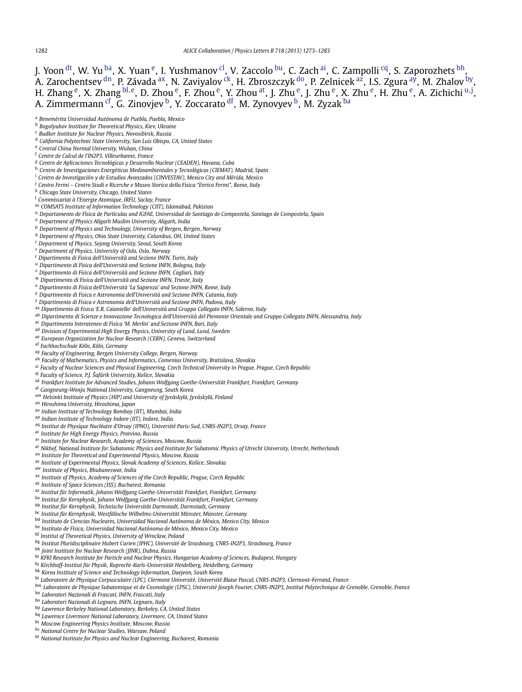<span id="page-9-0"></span>J. Yoon <sup>dt</sup>, W. Yu <sup>ba</sup>, X. Yuan <sup>e</sup>, I. Yushmanov <sup>cl</sup>, V. Zaccolo <sup>bu</sup>, C. Zach <sup>ai</sup>, C. Zampolli <sup>cq</sup>, S. Zaporozhets <sup>bh</sup>, A. Zarochentsev <sup>[dn](#page-10-0)</sup>, P. Závada <sup>ax</sup>, N. Zaviyalov <sup>ck</sup>, H. Zbroszczyk <sup>do</sup>, P. Zelnicek <sup>az</sup>, I.S. Zgura <sup>ay</sup>, M. Zhalov <sup>[by](#page-10-0)</sup>, H. Zhang <sup>e</sup>, X. Zhang <sup>bl, e</sup>, D. Zhou <sup>e</sup>, F. Zhou <sup>e</sup>, Y. Zhou <sup>at</sup>, J. Zhu <sup>e</sup>, J. Zhu <sup>e</sup>, X. Zhu <sup>e</sup>, H. Zhu <sup>e</sup>, A. Zichichi <sup>u, j</sup>, A. Zimmermann <sup>cf</sup>, G. Zinovjev <sup>b</sup>, Y. Zoccarato <sup>df</sup>, M. Zynovyev <sup>b</sup>, M. Zyzak <sup>ba</sup>

- <sup>e</sup> *Central China Normal University, Wuhan, China*
- <sup>f</sup> *Centre de Calcul de l'IN2P3, Villeurbanne, France*
- <sup>g</sup> *Centro de Aplicaciones Tecnológicas y Desarrollo Nuclear (CEADEN), Havana, Cuba*
- <sup>h</sup> *Centro de Investigaciones Energéticas Medioambientales y Tecnológicas (CIEMAT), Madrid, Spain*
- <sup>i</sup> *Centro de Investigación y de Estudios Avanzados (CINVESTAV), Mexico City and Mérida, Mexico*
- <sup>j</sup> *Centro Fermi Centro Studi e Ricerche e Museo Storico della Fisica "Enrico Fermi", Rome, Italy*
- <sup>k</sup> *Chicago State University, Chicago, United States*
- <sup>l</sup> *Commissariat à l'Energie Atomique, IRFU, Saclay, France*
- <sup>m</sup> *COMSATS Institute of Information Technology (CIIT), Islamabad, Pakistan*
- <sup>n</sup> *Departamento de Física de Partículas and IGFAE, Universidad de Santiago de Compostela, Santiago de Compostela, Spain*
- <sup>o</sup> *Department of Physics Aligarh Muslim University, Aligarh, India*
- <sup>p</sup> *Department of Physics and Technology, University of Bergen, Bergen, Norway*
- <sup>q</sup> *Department of Physics, Ohio State University, Columbus, OH, United States*
- <sup>r</sup> *Department of Physics, Sejong University, Seoul, South Korea*
- <sup>s</sup> *Department of Physics, University of Oslo, Oslo, Norway*
- <sup>t</sup> *Dipartimento di Fisica dell'Università and Sezione INFN, Turin, Italy*
- <sup>u</sup> *Dipartimento di Fisica dell'Università and Sezione INFN, Bologna, Italy*
- <sup>v</sup> *Dipartimento di Fisica dell'Università and Sezione INFN, Cagliari, Italy*
- <sup>w</sup> *Dipartimento di Fisica dell'Università and Sezione INFN, Trieste, Italy*
- <sup>x</sup> *Dipartimento di Fisica dell'Università 'La Sapienza' and Sezione INFN, Rome, Italy*
- <sup>y</sup> *Dipartimento di Fisica e Astronomia dell'Università and Sezione INFN, Catania, Italy*
- <sup>z</sup> *Dipartimento di Fisica e Astronomia dell'Università and Sezione INFN, Padova, Italy*
- aa *Dipartimento di Fisica 'E.R. Caianiello' dell'Università and Gruppo Collegato INFN, Salerno, Italy*
- ab *Dipartimento di Scienze e Innovazione Tecnologica dell'Università del Piemonte Orientale and Gruppo Collegato INFN, Alessandria, Italy*
- ac *Dipartimento Interateneo di Fisica 'M. Merlin' and Sezione INFN, Bari, Italy*
- ad *Division of Experimental High Energy Physics, University of Lund, Lund, Sweden*
- ae *European Organization for Nuclear Research (CERN), Geneva, Switzerland*
- af *Fachhochschule Köln, Köln, Germany*
- ag *Faculty of Engineering, Bergen University College, Bergen, Norway*
- ah *Faculty of Mathematics, Physics and Informatics, Comenius University, Bratislava, Slovakia*
- ai *Faculty of Nuclear Sciences and Physical Engineering, Czech Technical University in Prague, Prague, Czech Republic*
- aj *Faculty of Science, P.J. Šafárik University, Košice, Slovakia*
- ak *Frankfurt Institute for Advanced Studies, Johann Wolfgang Goethe-Universität Frankfurt, Frankfurt, Germany*
- al *Gangneung-Wonju National University, Gangneung, South Korea*
- am *Helsinki Institute of Physics (HIP) and University of Jyväskylä, Jyväskylä, Finland*
- an *Hiroshima University, Hiroshima, Japan*
- ao *Indian Institute of Technology Bombay (IIT), Mumbai, India*
- ap *Indian Institute of Technology Indore (IIT), Indore, India*
- aq *Institut de Physique Nucléaire d'Orsay (IPNO), Université Paris-Sud, CNRS-IN2P3, Orsay, France*
- ar *Institute for High Energy Physics, Protvino, Russia*
- as *Institute for Nuclear Research, Academy of Sciences, Moscow, Russia*
- at *Nikhef, National Institute for Subatomic Physics and Institute for Subatomic Physics of Utrecht University, Utrecht, Netherlands*
- au *Institute for Theoretical and Experimental Physics, Moscow, Russia*
- av *Institute of Experimental Physics, Slovak Academy of Sciences, Košice, Slovakia*
- aw *Institute of Physics, Bhubaneswar, India*
- ax *Institute of Physics, Academy of Sciences of the Czech Republic, Prague, Czech Republic*
- ay *Institute of Space Sciences (ISS), Bucharest, Romania*
- az *Institut für Informatik, Johann Wolfgang Goethe-Universität Frankfurt, Frankfurt, Germany*
- ba *Institut für Kernphysik, Johann Wolfgang Goethe-Universität Frankfurt, Frankfurt, Germany*
- bb *Institut für Kernphysik, Technische Universität Darmstadt, Darmstadt, Germany*
- bc *Institut für Kernphysik, Westfälische Wilhelms-Universität Münster, Münster, Germany*
- bd *Instituto de Ciencias Nucleares, Universidad Nacional Autónoma de México, Mexico City, Mexico*
- be *Instituto de Física, Universidad Nacional Autónoma de México, Mexico City, Mexico*
- bf *Institut of Theoretical Physics, University of Wroclaw, Poland*
- bg *Institut Pluridisciplinaire Hubert Curien (IPHC), Université de Strasbourg, CNRS-IN2P3, Strasbourg, France*
- bh *Joint Institute for Nuclear Research (JINR), Dubna, Russia*
- bi *KFKI Research Institute for Particle and Nuclear Physics, Hungarian Academy of Sciences, Budapest, Hungary*
- bj *Kirchhoff-Institut für Physik, Ruprecht-Karls-Universität Heidelberg, Heidelberg, Germany*
- bk *Korea Institute of Science and Technology Information, Daejeon, South Korea*
- bl *Laboratoire de Physique Corpusculaire (LPC), Clermont Université, Université Blaise Pascal, CNRS-IN2P3, Clermont-Ferrand, France*
- bm *Laboratoire de Physique Subatomique et de Cosmologie (LPSC), Université Joseph Fourier, CNRS-IN2P3, Institut Polytechnique de Grenoble, Grenoble, France*
- bn *Laboratori Nazionali di Frascati, INFN, Frascati, Italy*
- bo *Laboratori Nazionali di Legnaro, INFN, Legnaro, Italy*
- bp *Lawrence Berkeley National Laboratory, Berkeley, CA, United States*
- bq *Lawrence Livermore National Laboratory, Livermore, CA, United States*
- br *Moscow Engineering Physics Institute, Moscow, Russia*
- bs *National Centre for Nuclear Studies, Warsaw, Poland*
- bt *National Institute for Physics and Nuclear Engineering, Bucharest, Romania*

<sup>a</sup> *Benemérita Universidad Autónoma de Puebla, Puebla, Mexico*

<sup>b</sup> *Bogolyubov Institute for Theoretical Physics, Kiev, Ukraine*

<sup>c</sup> *Budker Institute for Nuclear Physics, Novosibirsk, Russia*

<sup>d</sup> *California Polytechnic State University, San Luis Obispo, CA, United States*